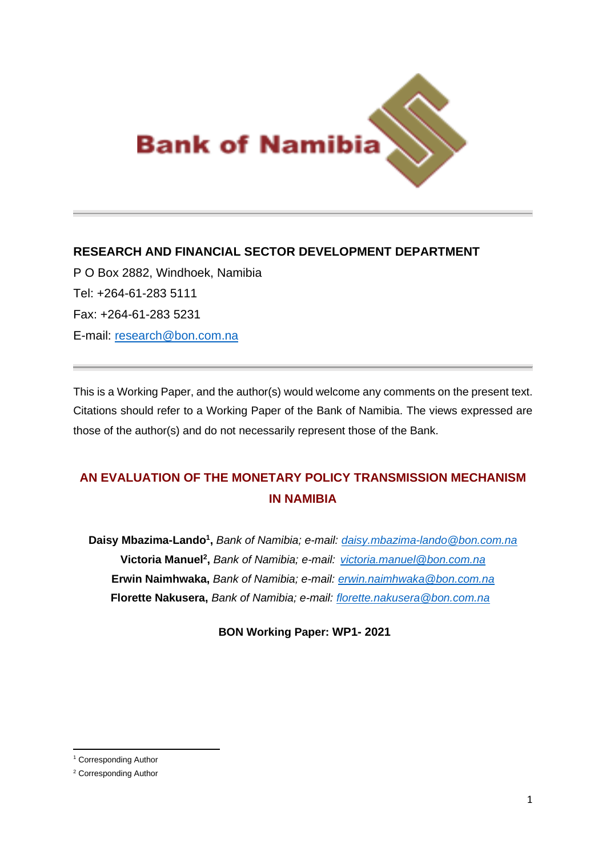

# **RESEARCH AND FINANCIAL SECTOR DEVELOPMENT DEPARTMENT**

P O Box 2882, Windhoek, Namibia Tel: +264-61-283 5111 Fax: +264-61-283 5231 E-mail: [research@bon.com.na](mailto:research@bon.com.na)

This is a Working Paper, and the author(s) would welcome any comments on the present text. Citations should refer to a Working Paper of the Bank of Namibia. The views expressed are those of the author(s) and do not necessarily represent those of the Bank.

# **AN EVALUATION OF THE MONETARY POLICY TRANSMISSION MECHANISM IN NAMIBIA**

**Daisy Mbazima-Lando<sup>1</sup> ,** *Bank of Namibia; e-mail: [daisy.mbazima-lando@bon.com.na](mailto:daisy.mbazima-lando@bon.com.na)* **Victoria Manuel<sup>2</sup> ,** *Bank of Namibia; e-mail: [victoria.manuel@bon.com.na](mailto:victoria.manuel@bon.com.na)* **Erwin Naimhwaka,** *Bank of Namibia; e-mail: [erwin.naimhwaka@bon.com.na](mailto:erwin.naimhwaka@bon.com.na)*  **Florette Nakusera,** *Bank of Namibia; e-mail: [florette.nakusera@bon.com.na](mailto:florette.nakusera@bon.com.na)*

**BON Working Paper: WP1- 2021**

<sup>1</sup> Corresponding Author

<sup>2</sup> Corresponding Author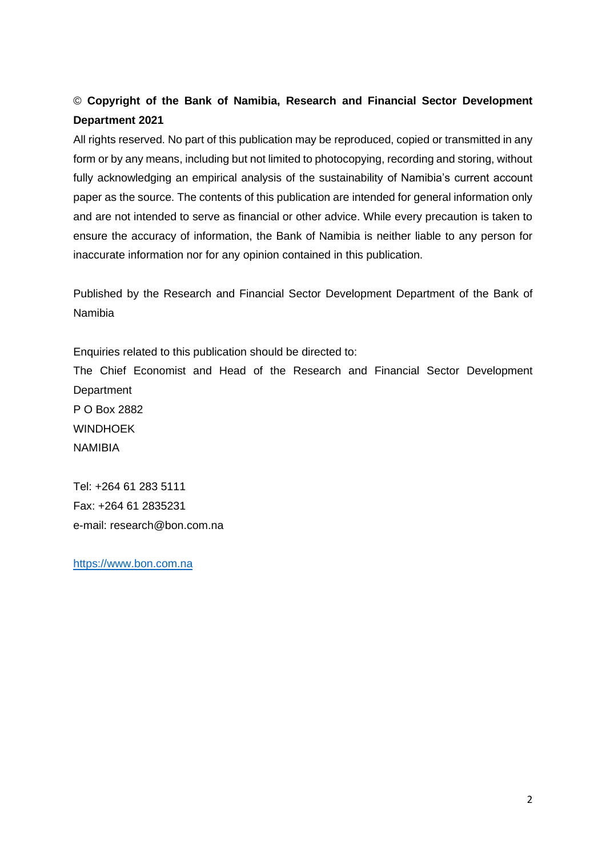# © **Copyright of the Bank of Namibia, Research and Financial Sector Development Department 2021**

All rights reserved. No part of this publication may be reproduced, copied or transmitted in any form or by any means, including but not limited to photocopying, recording and storing, without fully acknowledging an empirical analysis of the sustainability of Namibia's current account paper as the source. The contents of this publication are intended for general information only and are not intended to serve as financial or other advice. While every precaution is taken to ensure the accuracy of information, the Bank of Namibia is neither liable to any person for inaccurate information nor for any opinion contained in this publication.

Published by the Research and Financial Sector Development Department of the Bank of Namibia

Enquiries related to this publication should be directed to:

The Chief Economist and Head of the Research and Financial Sector Development **Department** 

P O Box 2882 WINDHOEK NAMIBIA

Tel: +264 61 283 5111 Fax: +264 61 2835231 e-mail: [research@bon.com.na](mailto:research@bon.com.na)

[https://www.bon.com.na](https://www.bon.com.na/)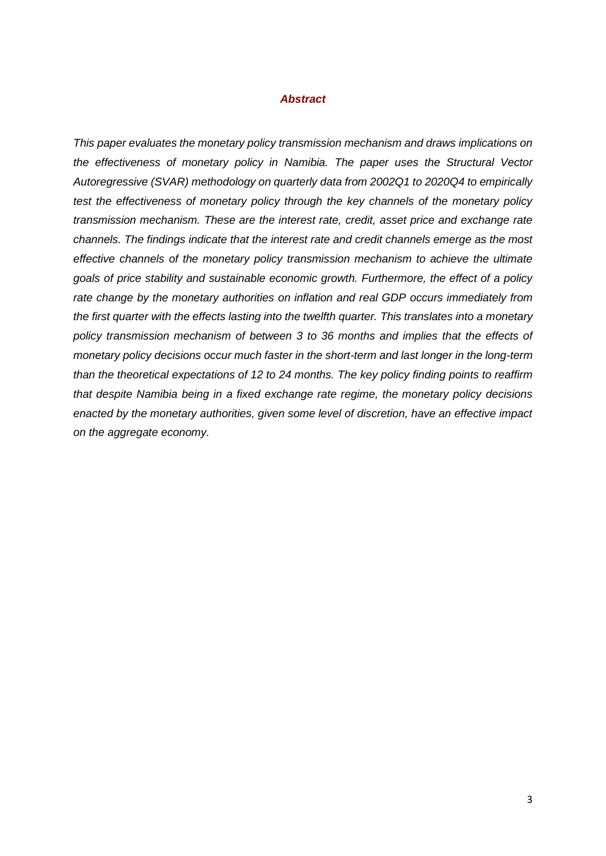#### *Abstract*

*This paper evaluates the monetary policy transmission mechanism and draws implications on the effectiveness of monetary policy in Namibia. The paper uses the Structural Vector Autoregressive (SVAR) methodology on quarterly data from 2002Q1 to 2020Q4 to empirically test the effectiveness of monetary policy through the key channels of the monetary policy transmission mechanism. These are the interest rate, credit, asset price and exchange rate channels. The findings indicate that the interest rate and credit channels emerge as the most effective channels of the monetary policy transmission mechanism to achieve the ultimate goals of price stability and sustainable economic growth. Furthermore, the effect of a policy rate change by the monetary authorities on inflation and real GDP occurs immediately from the first quarter with the effects lasting into the twelfth quarter. This translates into a monetary policy transmission mechanism of between 3 to 36 months and implies that the effects of monetary policy decisions occur much faster in the short-term and last longer in the long-term than the theoretical expectations of 12 to 24 months. The key policy finding points to reaffirm that despite Namibia being in a fixed exchange rate regime, the monetary policy decisions enacted by the monetary authorities, given some level of discretion, have an effective impact on the aggregate economy.*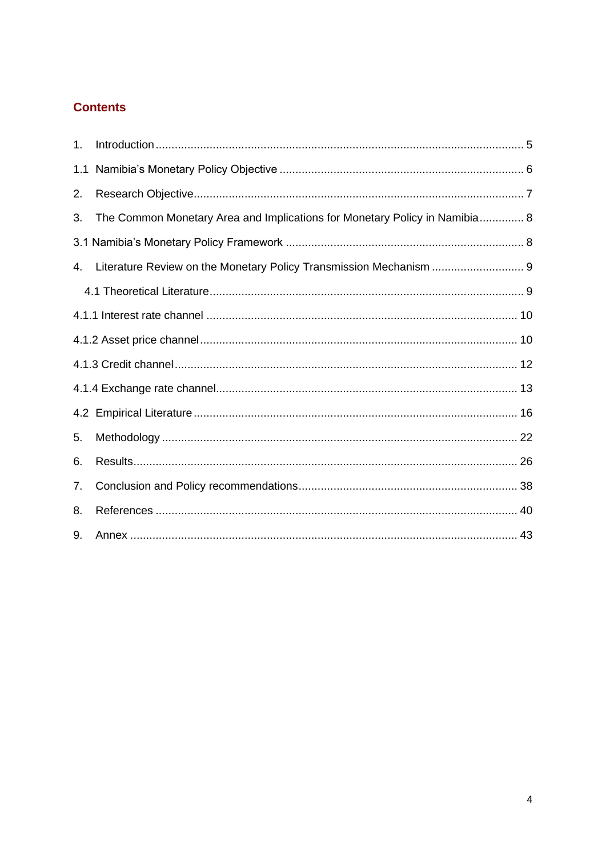# **Contents**

| 1.  |                                                                            |
|-----|----------------------------------------------------------------------------|
| 1.1 |                                                                            |
| 2.  |                                                                            |
| 3.  | The Common Monetary Area and Implications for Monetary Policy in Namibia 8 |
|     |                                                                            |
| 4.  | Literature Review on the Monetary Policy Transmission Mechanism  9         |
|     |                                                                            |
|     |                                                                            |
|     |                                                                            |
|     |                                                                            |
|     |                                                                            |
|     |                                                                            |
| 5.  |                                                                            |
| 6.  |                                                                            |
| 7.  |                                                                            |
| 8.  |                                                                            |
| 9.  |                                                                            |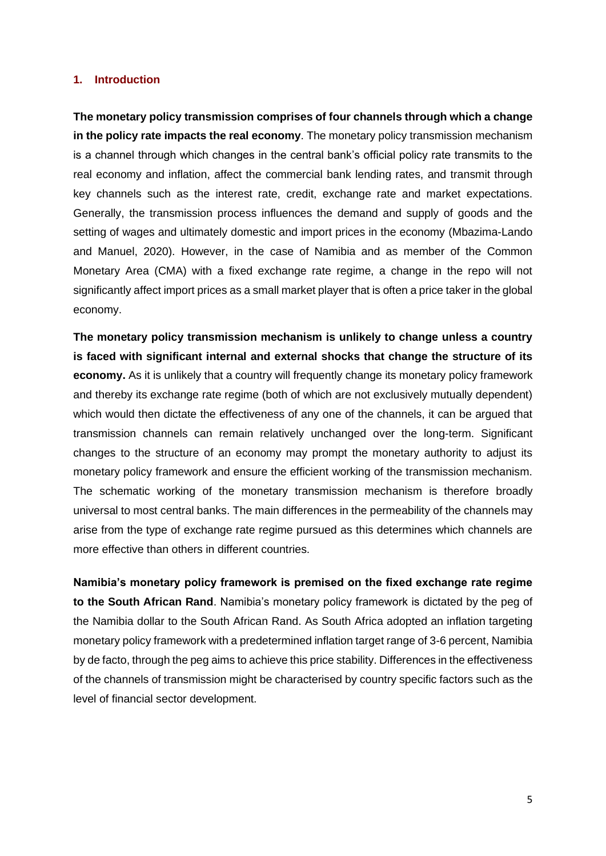#### <span id="page-4-0"></span>**1. Introduction**

**The monetary policy transmission comprises of four channels through which a change in the policy rate impacts the real economy**. The monetary policy transmission mechanism is a channel through which changes in the central bank's official policy rate transmits to the real economy and inflation, affect the commercial bank lending rates, and transmit through key channels such as the interest rate, credit, exchange rate and market expectations. Generally, the transmission process influences the demand and supply of goods and the setting of wages and ultimately domestic and import prices in the economy (Mbazima-Lando and Manuel, 2020). However, in the case of Namibia and as member of the Common Monetary Area (CMA) with a fixed exchange rate regime, a change in the repo will not significantly affect import prices as a small market player that is often a price taker in the global economy.

**The monetary policy transmission mechanism is unlikely to change unless a country is faced with significant internal and external shocks that change the structure of its economy.** As it is unlikely that a country will frequently change its monetary policy framework and thereby its exchange rate regime (both of which are not exclusively mutually dependent) which would then dictate the effectiveness of any one of the channels, it can be argued that transmission channels can remain relatively unchanged over the long-term. Significant changes to the structure of an economy may prompt the monetary authority to adjust its monetary policy framework and ensure the efficient working of the transmission mechanism. The schematic working of the monetary transmission mechanism is therefore broadly universal to most central banks. The main differences in the permeability of the channels may arise from the type of exchange rate regime pursued as this determines which channels are more effective than others in different countries.

**Namibia's monetary policy framework is premised on the fixed exchange rate regime to the South African Rand**. Namibia's monetary policy framework is dictated by the peg of the Namibia dollar to the South African Rand. As South Africa adopted an inflation targeting monetary policy framework with a predetermined inflation target range of 3-6 percent, Namibia by de facto, through the peg aims to achieve this price stability. Differences in the effectiveness of the channels of transmission might be characterised by country specific factors such as the level of financial sector development.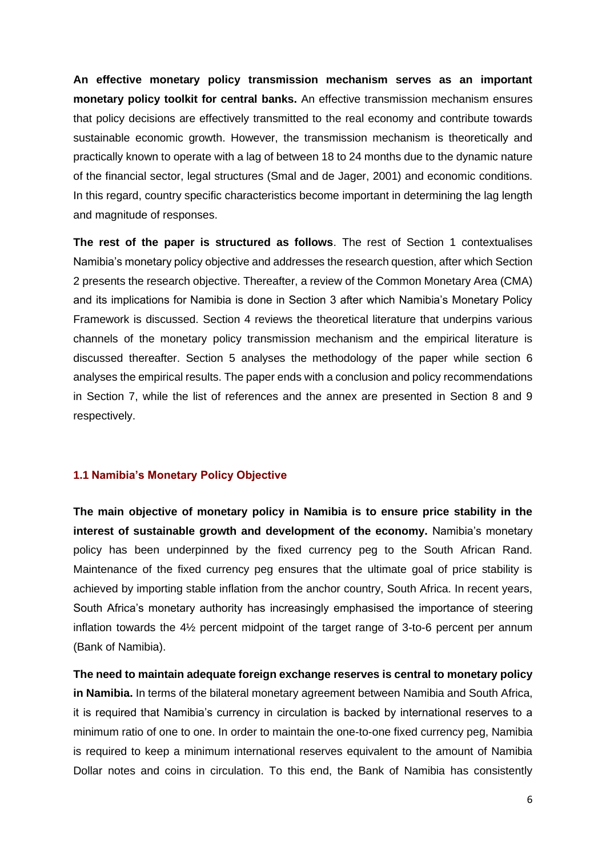**An effective monetary policy transmission mechanism serves as an important monetary policy toolkit for central banks.** An effective transmission mechanism ensures that policy decisions are effectively transmitted to the real economy and contribute towards sustainable economic growth. However, the transmission mechanism is theoretically and practically known to operate with a lag of between 18 to 24 months due to the dynamic nature of the financial sector, legal structures (Smal and de Jager, 2001) and economic conditions. In this regard, country specific characteristics become important in determining the lag length and magnitude of responses.

**The rest of the paper is structured as follows**. The rest of Section 1 contextualises Namibia's monetary policy objective and addresses the research question, after which Section 2 presents the research objective. Thereafter, a review of the Common Monetary Area (CMA) and its implications for Namibia is done in Section 3 after which Namibia's Monetary Policy Framework is discussed. Section 4 reviews the theoretical literature that underpins various channels of the monetary policy transmission mechanism and the empirical literature is discussed thereafter. Section 5 analyses the methodology of the paper while section 6 analyses the empirical results. The paper ends with a conclusion and policy recommendations in Section 7, while the list of references and the annex are presented in Section 8 and 9 respectively.

## <span id="page-5-0"></span>**1.1 Namibia's Monetary Policy Objective**

**The main objective of monetary policy in Namibia is to ensure price stability in the interest of sustainable growth and development of the economy.** Namibia's monetary policy has been underpinned by the fixed currency peg to the South African Rand. Maintenance of the fixed currency peg ensures that the ultimate goal of price stability is achieved by importing stable inflation from the anchor country, South Africa. In recent years, South Africa's monetary authority has increasingly emphasised the importance of steering inflation towards the 4½ percent midpoint of the target range of 3-to-6 percent per annum (Bank of Namibia).

**The need to maintain adequate foreign exchange reserves is central to monetary policy in Namibia.** In terms of the bilateral monetary agreement between Namibia and South Africa, it is required that Namibia's currency in circulation is backed by international reserves to a minimum ratio of one to one. In order to maintain the one-to-one fixed currency peg, Namibia is required to keep a minimum international reserves equivalent to the amount of Namibia Dollar notes and coins in circulation. To this end, the Bank of Namibia has consistently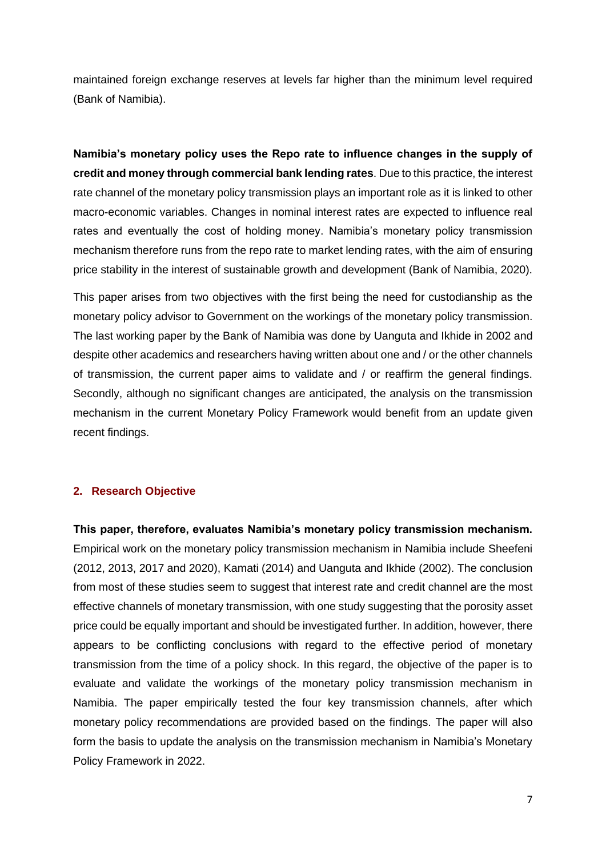maintained foreign exchange reserves at levels far higher than the minimum level required (Bank of Namibia).

**Namibia's monetary policy uses the Repo rate to influence changes in the supply of credit and money through commercial bank lending rates**. Due to this practice, the interest rate channel of the monetary policy transmission plays an important role as it is linked to other macro-economic variables. Changes in nominal interest rates are expected to influence real rates and eventually the cost of holding money. Namibia's monetary policy transmission mechanism therefore runs from the repo rate to market lending rates, with the aim of ensuring price stability in the interest of sustainable growth and development (Bank of Namibia, 2020).

This paper arises from two objectives with the first being the need for custodianship as the monetary policy advisor to Government on the workings of the monetary policy transmission. The last working paper by the Bank of Namibia was done by Uanguta and Ikhide in 2002 and despite other academics and researchers having written about one and / or the other channels of transmission, the current paper aims to validate and / or reaffirm the general findings. Secondly, although no significant changes are anticipated, the analysis on the transmission mechanism in the current Monetary Policy Framework would benefit from an update given recent findings.

## <span id="page-6-0"></span>**2. Research Objective**

**This paper, therefore, evaluates Namibia's monetary policy transmission mechanism.** Empirical work on the monetary policy transmission mechanism in Namibia include Sheefeni (2012, 2013, 2017 and 2020), Kamati (2014) and Uanguta and Ikhide (2002). The conclusion from most of these studies seem to suggest that interest rate and credit channel are the most effective channels of monetary transmission, with one study suggesting that the porosity asset price could be equally important and should be investigated further. In addition, however, there appears to be conflicting conclusions with regard to the effective period of monetary transmission from the time of a policy shock. In this regard, the objective of the paper is to evaluate and validate the workings of the monetary policy transmission mechanism in Namibia. The paper empirically tested the four key transmission channels, after which monetary policy recommendations are provided based on the findings. The paper will also form the basis to update the analysis on the transmission mechanism in Namibia's Monetary Policy Framework in 2022.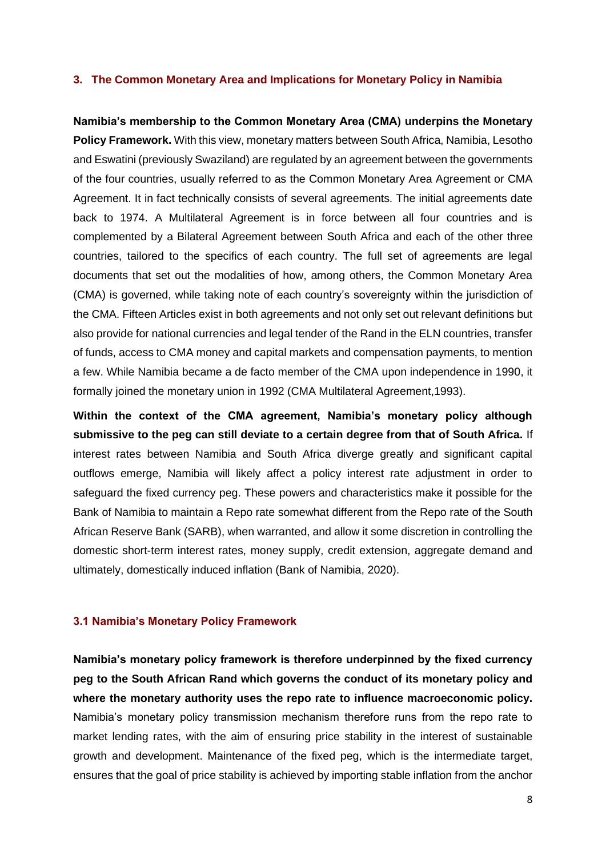#### <span id="page-7-0"></span>**3. The Common Monetary Area and Implications for Monetary Policy in Namibia**

**Namibia's membership to the Common Monetary Area (CMA) underpins the Monetary Policy Framework.** With this view, monetary matters between South Africa, Namibia, Lesotho and Eswatini (previously Swaziland) are regulated by an agreement between the governments of the four countries, usually referred to as the Common Monetary Area Agreement or CMA Agreement. It in fact technically consists of several agreements. The initial agreements date back to 1974. A Multilateral Agreement is in force between all four countries and is complemented by a Bilateral Agreement between South Africa and each of the other three countries, tailored to the specifics of each country. The full set of agreements are legal documents that set out the modalities of how, among others, the Common Monetary Area (CMA) is governed, while taking note of each country's sovereignty within the jurisdiction of the CMA. Fifteen Articles exist in both agreements and not only set out relevant definitions but also provide for national currencies and legal tender of the Rand in the ELN countries, transfer of funds, access to CMA money and capital markets and compensation payments, to mention a few. While Namibia became a de facto member of the CMA upon independence in 1990, it formally joined the monetary union in 1992 (CMA Multilateral Agreement,1993).

**Within the context of the CMA agreement, Namibia's monetary policy although submissive to the peg can still deviate to a certain degree from that of South Africa.** If interest rates between Namibia and South Africa diverge greatly and significant capital outflows emerge, Namibia will likely affect a policy interest rate adjustment in order to safeguard the fixed currency peg. These powers and characteristics make it possible for the Bank of Namibia to maintain a Repo rate somewhat different from the Repo rate of the South African Reserve Bank (SARB), when warranted, and allow it some discretion in controlling the domestic short-term interest rates, money supply, credit extension, aggregate demand and ultimately, domestically induced inflation (Bank of Namibia, 2020).

## <span id="page-7-1"></span>**3.1 Namibia's Monetary Policy Framework**

**Namibia's monetary policy framework is therefore underpinned by the fixed currency peg to the South African Rand which governs the conduct of its monetary policy and where the monetary authority uses the repo rate to influence macroeconomic policy.** Namibia's monetary policy transmission mechanism therefore runs from the repo rate to market lending rates, with the aim of ensuring price stability in the interest of sustainable growth and development. Maintenance of the fixed peg, which is the intermediate target, ensures that the goal of price stability is achieved by importing stable inflation from the anchor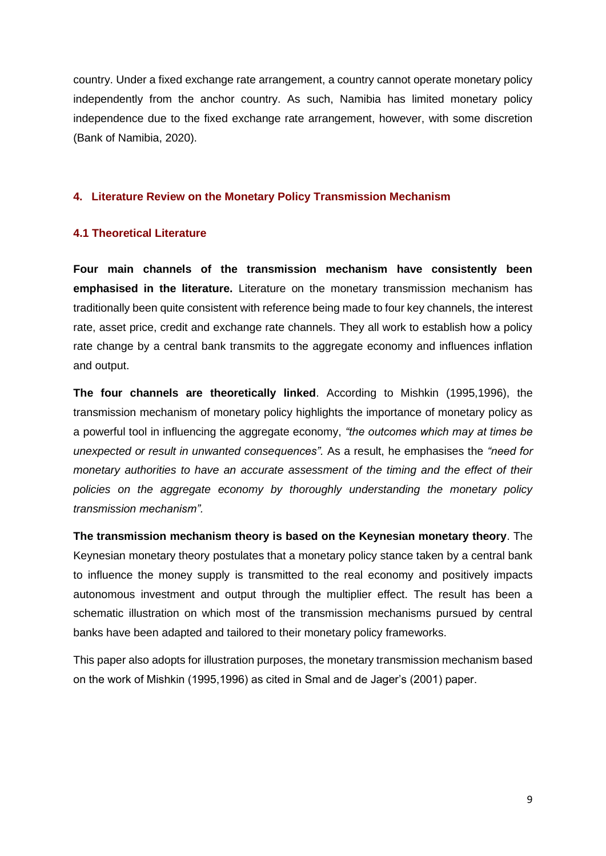country. Under a fixed exchange rate arrangement, a country cannot operate monetary policy independently from the anchor country. As such, Namibia has limited monetary policy independence due to the fixed exchange rate arrangement, however, with some discretion (Bank of Namibia, 2020).

# <span id="page-8-0"></span>**4. Literature Review on the Monetary Policy Transmission Mechanism**

## <span id="page-8-1"></span>**4.1 Theoretical Literature**

**Four main channels of the transmission mechanism have consistently been emphasised in the literature.** Literature on the monetary transmission mechanism has traditionally been quite consistent with reference being made to four key channels, the interest rate, asset price, credit and exchange rate channels. They all work to establish how a policy rate change by a central bank transmits to the aggregate economy and influences inflation and output.

**The four channels are theoretically linked**. According to Mishkin (1995,1996), the transmission mechanism of monetary policy highlights the importance of monetary policy as a powerful tool in influencing the aggregate economy, *"the outcomes which may at times be unexpected or result in unwanted consequences".* As a result, he emphasises the *"need for monetary authorities to have an accurate assessment of the timing and the effect of their policies on the aggregate economy by thoroughly understanding the monetary policy transmission mechanism".*

**The transmission mechanism theory is based on the Keynesian monetary theory**. The Keynesian monetary theory postulates that a monetary policy stance taken by a central bank to influence the money supply is transmitted to the real economy and positively impacts autonomous investment and output through the multiplier effect. The result has been a schematic illustration on which most of the transmission mechanisms pursued by central banks have been adapted and tailored to their monetary policy frameworks.

This paper also adopts for illustration purposes, the monetary transmission mechanism based on the work of Mishkin (1995,1996) as cited in Smal and de Jager's (2001) paper.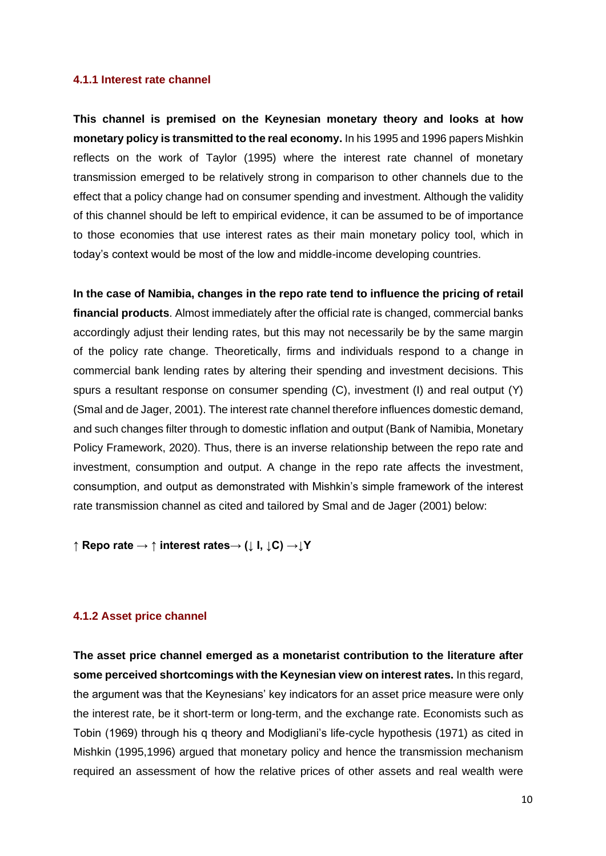#### <span id="page-9-0"></span>**4.1.1 Interest rate channel**

**This channel is premised on the Keynesian monetary theory and looks at how monetary policy is transmitted to the real economy.** In his 1995 and 1996 papers Mishkin reflects on the work of Taylor (1995) where the interest rate channel of monetary transmission emerged to be relatively strong in comparison to other channels due to the effect that a policy change had on consumer spending and investment. Although the validity of this channel should be left to empirical evidence, it can be assumed to be of importance to those economies that use interest rates as their main monetary policy tool, which in today's context would be most of the low and middle-income developing countries.

**In the case of Namibia, changes in the repo rate tend to influence the pricing of retail financial products**. Almost immediately after the official rate is changed, commercial banks accordingly adjust their lending rates, but this may not necessarily be by the same margin of the policy rate change. Theoretically, firms and individuals respond to a change in commercial bank lending rates by altering their spending and investment decisions. This spurs a resultant response on consumer spending (C), investment (I) and real output (Y) (Smal and de Jager, 2001). The interest rate channel therefore influences domestic demand, and such changes filter through to domestic inflation and output (Bank of Namibia, Monetary Policy Framework, 2020). Thus, there is an inverse relationship between the repo rate and investment, consumption and output. A change in the repo rate affects the investment, consumption, and output as demonstrated with Mishkin's simple framework of the interest rate transmission channel as cited and tailored by Smal and de Jager (2001) below:

**↑ Repo rate → ↑ interest rates→ (↓ I, ↓C) →↓Y**

## <span id="page-9-1"></span>**4.1.2 Asset price channel**

**The asset price channel emerged as a monetarist contribution to the literature after some perceived shortcomings with the Keynesian view on interest rates.** In this regard, the argument was that the Keynesians' key indicators for an asset price measure were only the interest rate, be it short-term or long-term, and the exchange rate. Economists such as Tobin (1969) through his q theory and Modigliani's life-cycle hypothesis (1971) as cited in Mishkin (1995,1996) argued that monetary policy and hence the transmission mechanism required an assessment of how the relative prices of other assets and real wealth were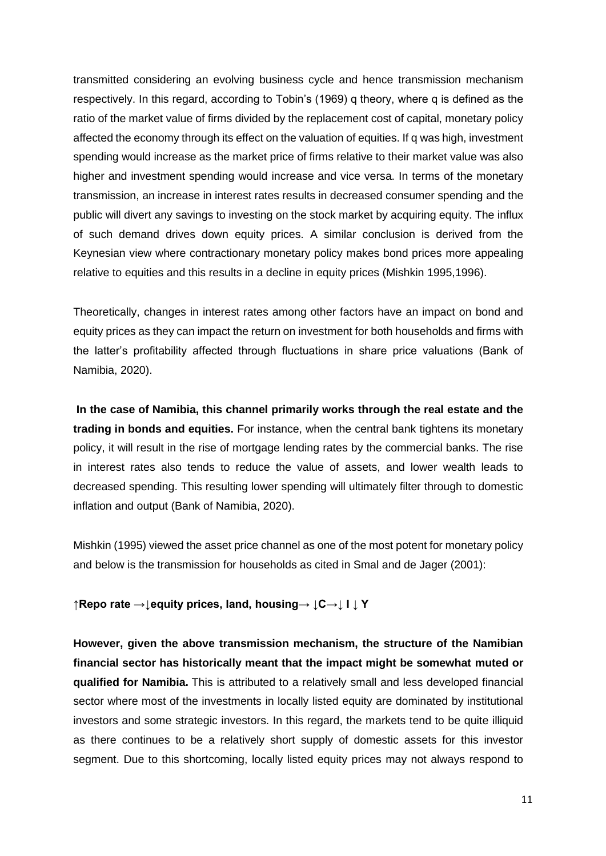transmitted considering an evolving business cycle and hence transmission mechanism respectively. In this regard, according to Tobin's (1969) q theory, where q is defined as the ratio of the market value of firms divided by the replacement cost of capital, monetary policy affected the economy through its effect on the valuation of equities. If q was high, investment spending would increase as the market price of firms relative to their market value was also higher and investment spending would increase and vice versa. In terms of the monetary transmission, an increase in interest rates results in decreased consumer spending and the public will divert any savings to investing on the stock market by acquiring equity. The influx of such demand drives down equity prices. A similar conclusion is derived from the Keynesian view where contractionary monetary policy makes bond prices more appealing relative to equities and this results in a decline in equity prices (Mishkin 1995,1996).

Theoretically, changes in interest rates among other factors have an impact on bond and equity prices as they can impact the return on investment for both households and firms with the latter's profitability affected through fluctuations in share price valuations (Bank of Namibia, 2020).

**In the case of Namibia, this channel primarily works through the real estate and the trading in bonds and equities.** For instance, when the central bank tightens its monetary policy, it will result in the rise of mortgage lending rates by the commercial banks. The rise in interest rates also tends to reduce the value of assets, and lower wealth leads to decreased spending. This resulting lower spending will ultimately filter through to domestic inflation and output (Bank of Namibia, 2020).

Mishkin (1995) viewed the asset price channel as one of the most potent for monetary policy and below is the transmission for households as cited in Smal and de Jager (2001):

**↑Repo rate →↓equity prices, land, housing→ ↓C→↓ I ↓ Y**

**However, given the above transmission mechanism, the structure of the Namibian financial sector has historically meant that the impact might be somewhat muted or qualified for Namibia.** This is attributed to a relatively small and less developed financial sector where most of the investments in locally listed equity are dominated by institutional investors and some strategic investors. In this regard, the markets tend to be quite illiquid as there continues to be a relatively short supply of domestic assets for this investor segment. Due to this shortcoming, locally listed equity prices may not always respond to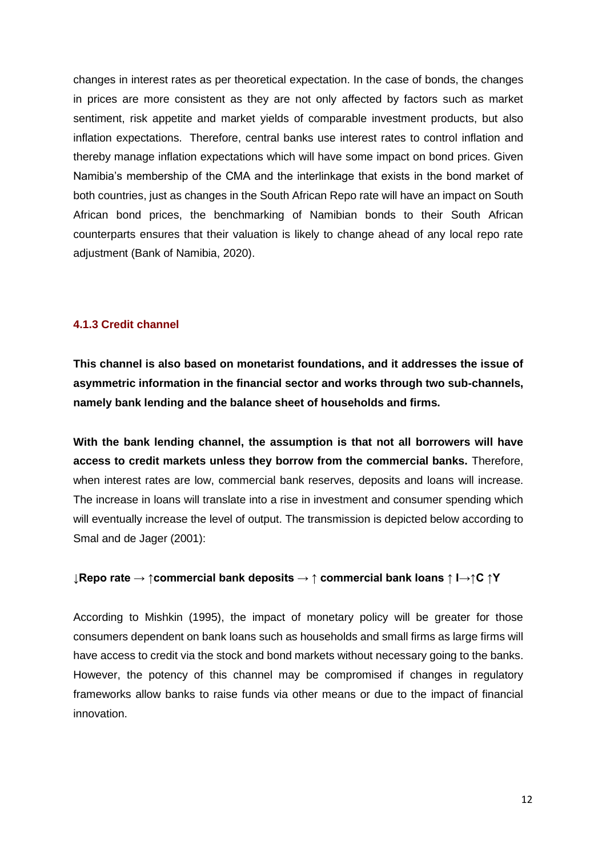changes in interest rates as per theoretical expectation. In the case of bonds, the changes in prices are more consistent as they are not only affected by factors such as market sentiment, risk appetite and market yields of comparable investment products, but also inflation expectations. Therefore, central banks use interest rates to control inflation and thereby manage inflation expectations which will have some impact on bond prices. Given Namibia's membership of the CMA and the interlinkage that exists in the bond market of both countries, just as changes in the South African Repo rate will have an impact on South African bond prices, the benchmarking of Namibian bonds to their South African counterparts ensures that their valuation is likely to change ahead of any local repo rate adjustment (Bank of Namibia, 2020).

# <span id="page-11-0"></span>**4.1.3 Credit channel**

**This channel is also based on monetarist foundations, and it addresses the issue of asymmetric information in the financial sector and works through two sub-channels, namely bank lending and the balance sheet of households and firms.** 

**With the bank lending channel, the assumption is that not all borrowers will have access to credit markets unless they borrow from the commercial banks.** Therefore, when interest rates are low, commercial bank reserves, deposits and loans will increase. The increase in loans will translate into a rise in investment and consumer spending which will eventually increase the level of output. The transmission is depicted below according to Smal and de Jager (2001):

## **↓Repo rate → ↑commercial bank deposits → ↑ commercial bank loans ↑ I→↑C ↑Y**

According to Mishkin (1995), the impact of monetary policy will be greater for those consumers dependent on bank loans such as households and small firms as large firms will have access to credit via the stock and bond markets without necessary going to the banks. However, the potency of this channel may be compromised if changes in regulatory frameworks allow banks to raise funds via other means or due to the impact of financial innovation.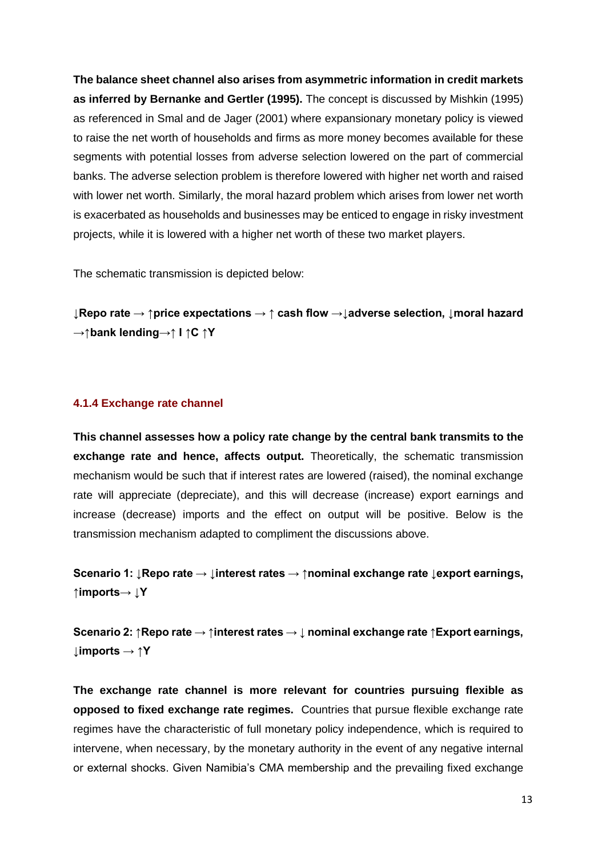**The balance sheet channel also arises from asymmetric information in credit markets as inferred by Bernanke and Gertler (1995).** The concept is discussed by Mishkin (1995) as referenced in Smal and de Jager (2001) where expansionary monetary policy is viewed to raise the net worth of households and firms as more money becomes available for these segments with potential losses from adverse selection lowered on the part of commercial banks. The adverse selection problem is therefore lowered with higher net worth and raised with lower net worth. Similarly, the moral hazard problem which arises from lower net worth is exacerbated as households and businesses may be enticed to engage in risky investment projects, while it is lowered with a higher net worth of these two market players.

The schematic transmission is depicted below:

**↓Repo rate → ↑price expectations → ↑ cash flow →↓adverse selection, ↓moral hazard →↑bank lending→↑ I ↑C ↑Y**

#### <span id="page-12-0"></span>**4.1.4 Exchange rate channel**

**This channel assesses how a policy rate change by the central bank transmits to the exchange rate and hence, affects output.** Theoretically, the schematic transmission mechanism would be such that if interest rates are lowered (raised), the nominal exchange rate will appreciate (depreciate), and this will decrease (increase) export earnings and increase (decrease) imports and the effect on output will be positive. Below is the transmission mechanism adapted to compliment the discussions above.

**Scenario 1: ↓Repo rate → ↓interest rates → ↑nominal exchange rate ↓export earnings, ↑imports→ ↓Y**

**Scenario 2: ↑Repo rate → ↑interest rates → ↓ nominal exchange rate ↑Export earnings, ↓imports → ↑Y**

**The exchange rate channel is more relevant for countries pursuing flexible as opposed to fixed exchange rate regimes.** Countries that pursue flexible exchange rate regimes have the characteristic of full monetary policy independence, which is required to intervene, when necessary, by the monetary authority in the event of any negative internal or external shocks. Given Namibia's CMA membership and the prevailing fixed exchange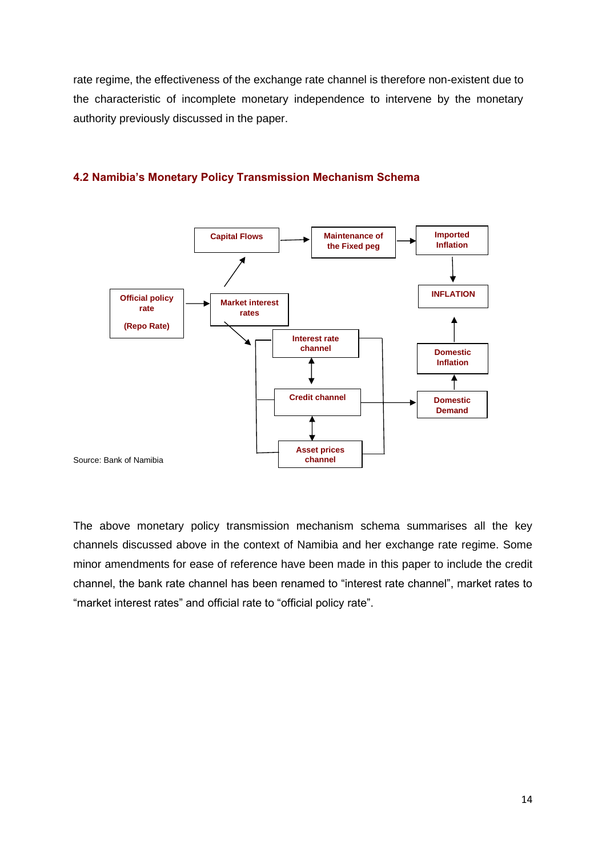rate regime, the effectiveness of the exchange rate channel is therefore non-existent due to the characteristic of incomplete monetary independence to intervene by the monetary authority previously discussed in the paper.



# **4.2 Namibia's Monetary Policy Transmission Mechanism Schema**

The above monetary policy transmission mechanism schema summarises all the key channels discussed above in the context of Namibia and her exchange rate regime. Some minor amendments for ease of reference have been made in this paper to include the credit channel, the bank rate channel has been renamed to "interest rate channel", market rates to "market interest rates" and official rate to "official policy rate".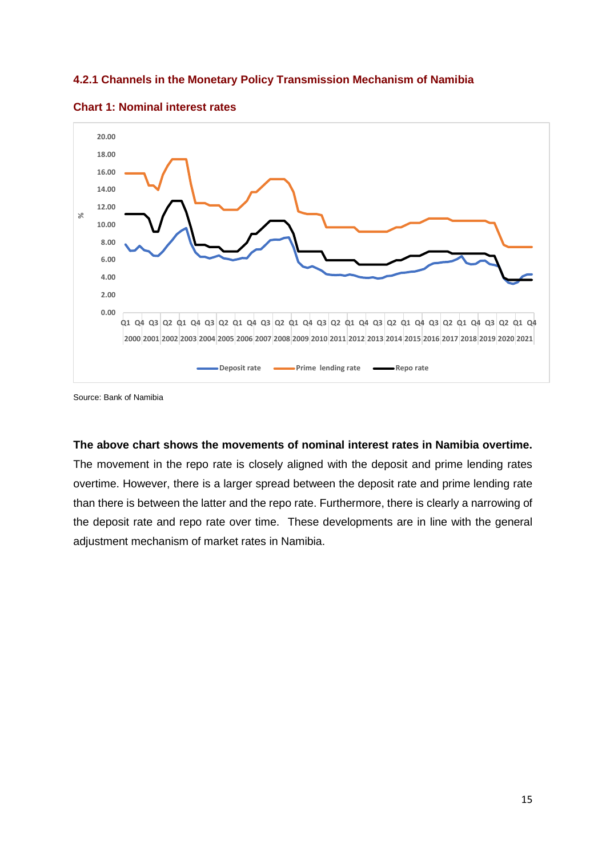# **4.2.1 Channels in the Monetary Policy Transmission Mechanism of Namibia**





# **The above chart shows the movements of nominal interest rates in Namibia overtime.**

The movement in the repo rate is closely aligned with the deposit and prime lending rates overtime. However, there is a larger spread between the deposit rate and prime lending rate than there is between the latter and the repo rate. Furthermore, there is clearly a narrowing of the deposit rate and repo rate over time. These developments are in line with the general adjustment mechanism of market rates in Namibia.

Source: Bank of Namibia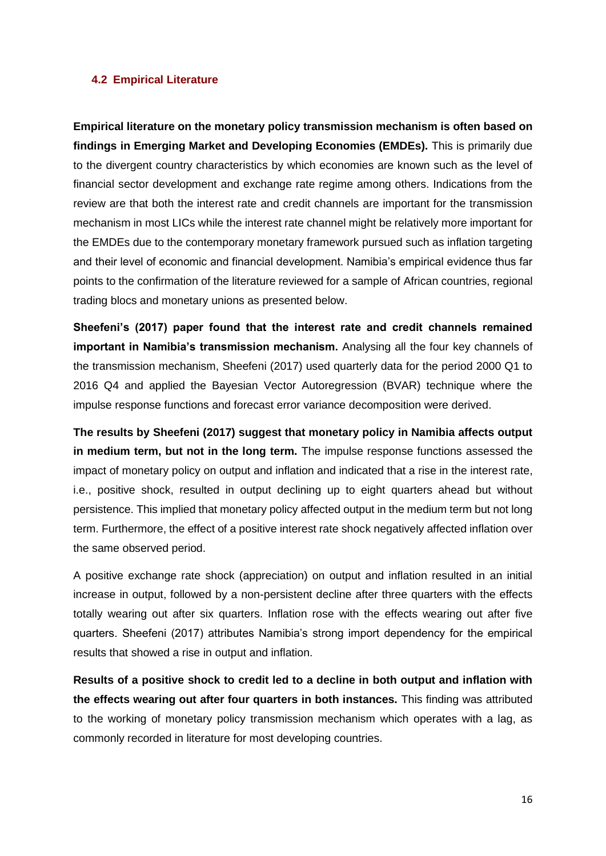## <span id="page-15-0"></span>**4.2 Empirical Literature**

**Empirical literature on the monetary policy transmission mechanism is often based on findings in Emerging Market and Developing Economies (EMDEs).** This is primarily due to the divergent country characteristics by which economies are known such as the level of financial sector development and exchange rate regime among others. Indications from the review are that both the interest rate and credit channels are important for the transmission mechanism in most LICs while the interest rate channel might be relatively more important for the EMDEs due to the contemporary monetary framework pursued such as inflation targeting and their level of economic and financial development. Namibia's empirical evidence thus far points to the confirmation of the literature reviewed for a sample of African countries, regional trading blocs and monetary unions as presented below.

**Sheefeni's (2017) paper found that the interest rate and credit channels remained important in Namibia's transmission mechanism.** Analysing all the four key channels of the transmission mechanism, Sheefeni (2017) used quarterly data for the period 2000 Q1 to 2016 Q4 and applied the Bayesian Vector Autoregression (BVAR) technique where the impulse response functions and forecast error variance decomposition were derived.

**The results by Sheefeni (2017) suggest that monetary policy in Namibia affects output in medium term, but not in the long term.** The impulse response functions assessed the impact of monetary policy on output and inflation and indicated that a rise in the interest rate, i.e., positive shock, resulted in output declining up to eight quarters ahead but without persistence. This implied that monetary policy affected output in the medium term but not long term. Furthermore, the effect of a positive interest rate shock negatively affected inflation over the same observed period.

A positive exchange rate shock (appreciation) on output and inflation resulted in an initial increase in output, followed by a non-persistent decline after three quarters with the effects totally wearing out after six quarters. Inflation rose with the effects wearing out after five quarters. Sheefeni (2017) attributes Namibia's strong import dependency for the empirical results that showed a rise in output and inflation.

**Results of a positive shock to credit led to a decline in both output and inflation with the effects wearing out after four quarters in both instances.** This finding was attributed to the working of monetary policy transmission mechanism which operates with a lag, as commonly recorded in literature for most developing countries.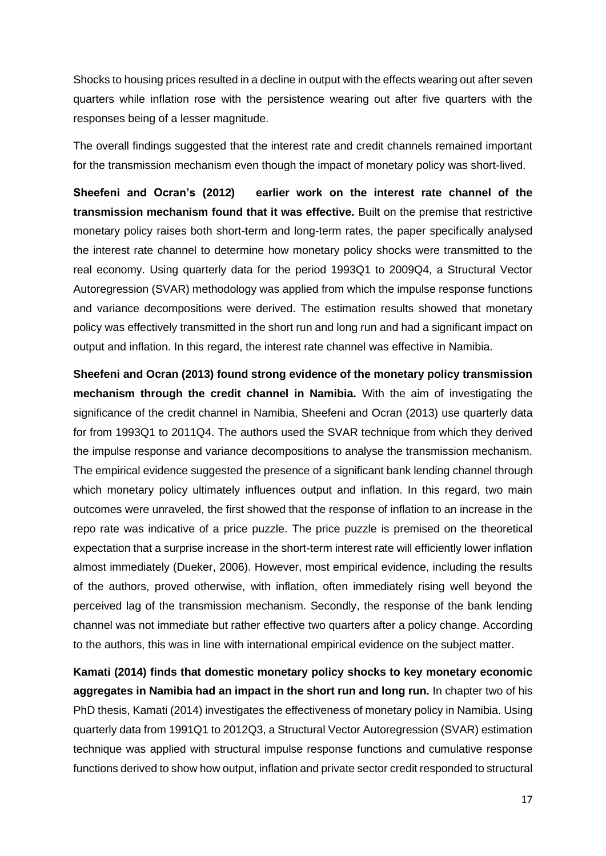Shocks to housing prices resulted in a decline in output with the effects wearing out after seven quarters while inflation rose with the persistence wearing out after five quarters with the responses being of a lesser magnitude.

The overall findings suggested that the interest rate and credit channels remained important for the transmission mechanism even though the impact of monetary policy was short-lived.

**Sheefeni and Ocran's (2012) earlier work on the interest rate channel of the transmission mechanism found that it was effective.** Built on the premise that restrictive monetary policy raises both short-term and long-term rates, the paper specifically analysed the interest rate channel to determine how monetary policy shocks were transmitted to the real economy. Using quarterly data for the period 1993Q1 to 2009Q4, a Structural Vector Autoregression (SVAR) methodology was applied from which the impulse response functions and variance decompositions were derived. The estimation results showed that monetary policy was effectively transmitted in the short run and long run and had a significant impact on output and inflation. In this regard, the interest rate channel was effective in Namibia.

**Sheefeni and Ocran (2013) found strong evidence of the monetary policy transmission mechanism through the credit channel in Namibia.** With the aim of investigating the significance of the credit channel in Namibia, Sheefeni and Ocran (2013) use quarterly data for from 1993Q1 to 2011Q4. The authors used the SVAR technique from which they derived the impulse response and variance decompositions to analyse the transmission mechanism. The empirical evidence suggested the presence of a significant bank lending channel through which monetary policy ultimately influences output and inflation. In this regard, two main outcomes were unraveled, the first showed that the response of inflation to an increase in the repo rate was indicative of a price puzzle. The price puzzle is premised on the theoretical expectation that a surprise increase in the short-term interest rate will efficiently lower inflation almost immediately (Dueker, 2006). However, most empirical evidence, including the results of the authors, proved otherwise, with inflation, often immediately rising well beyond the perceived lag of the transmission mechanism. Secondly, the response of the bank lending channel was not immediate but rather effective two quarters after a policy change. According to the authors, this was in line with international empirical evidence on the subject matter.

**Kamati (2014) finds that domestic monetary policy shocks to key monetary economic aggregates in Namibia had an impact in the short run and long run.** In chapter two of his PhD thesis, Kamati (2014) investigates the effectiveness of monetary policy in Namibia. Using quarterly data from 1991Q1 to 2012Q3, a Structural Vector Autoregression (SVAR) estimation technique was applied with structural impulse response functions and cumulative response functions derived to show how output, inflation and private sector credit responded to structural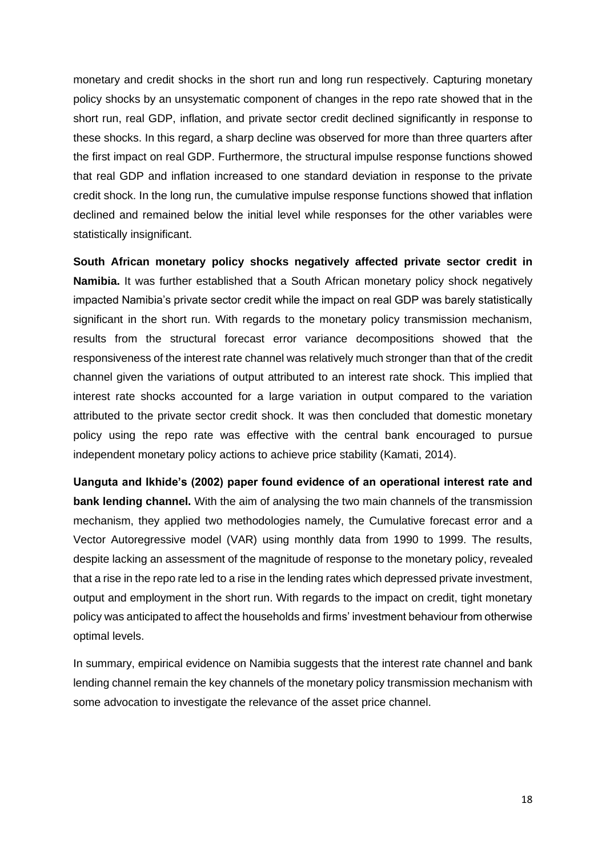monetary and credit shocks in the short run and long run respectively. Capturing monetary policy shocks by an unsystematic component of changes in the repo rate showed that in the short run, real GDP, inflation, and private sector credit declined significantly in response to these shocks. In this regard, a sharp decline was observed for more than three quarters after the first impact on real GDP. Furthermore, the structural impulse response functions showed that real GDP and inflation increased to one standard deviation in response to the private credit shock. In the long run, the cumulative impulse response functions showed that inflation declined and remained below the initial level while responses for the other variables were statistically insignificant.

**South African monetary policy shocks negatively affected private sector credit in Namibia.** It was further established that a South African monetary policy shock negatively impacted Namibia's private sector credit while the impact on real GDP was barely statistically significant in the short run. With regards to the monetary policy transmission mechanism, results from the structural forecast error variance decompositions showed that the responsiveness of the interest rate channel was relatively much stronger than that of the credit channel given the variations of output attributed to an interest rate shock. This implied that interest rate shocks accounted for a large variation in output compared to the variation attributed to the private sector credit shock. It was then concluded that domestic monetary policy using the repo rate was effective with the central bank encouraged to pursue independent monetary policy actions to achieve price stability (Kamati, 2014).

**Uanguta and Ikhide's (2002) paper found evidence of an operational interest rate and bank lending channel.** With the aim of analysing the two main channels of the transmission mechanism, they applied two methodologies namely, the Cumulative forecast error and a Vector Autoregressive model (VAR) using monthly data from 1990 to 1999. The results, despite lacking an assessment of the magnitude of response to the monetary policy, revealed that a rise in the repo rate led to a rise in the lending rates which depressed private investment, output and employment in the short run. With regards to the impact on credit, tight monetary policy was anticipated to affect the households and firms' investment behaviour from otherwise optimal levels.

In summary, empirical evidence on Namibia suggests that the interest rate channel and bank lending channel remain the key channels of the monetary policy transmission mechanism with some advocation to investigate the relevance of the asset price channel.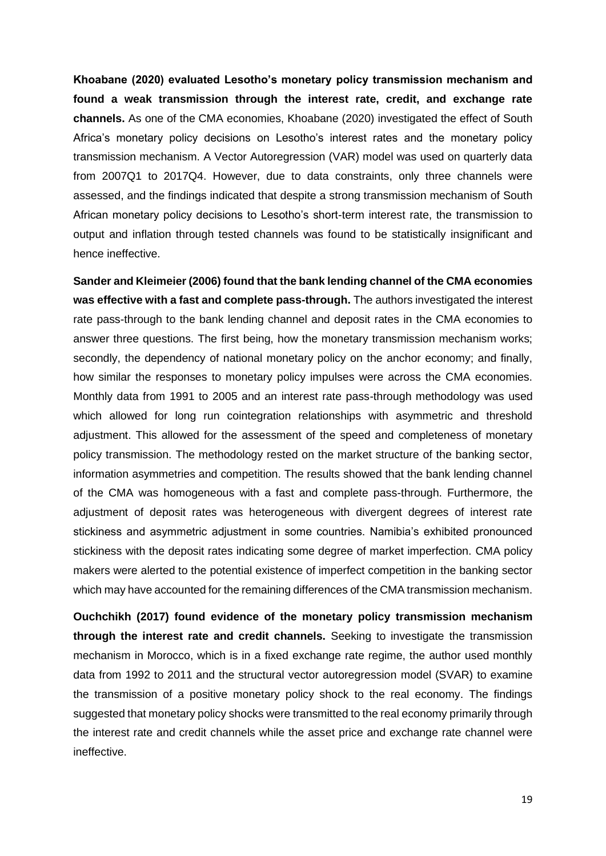**Khoabane (2020) evaluated Lesotho's monetary policy transmission mechanism and found a weak transmission through the interest rate, credit, and exchange rate channels.** As one of the CMA economies, Khoabane (2020) investigated the effect of South Africa's monetary policy decisions on Lesotho's interest rates and the monetary policy transmission mechanism. A Vector Autoregression (VAR) model was used on quarterly data from 2007Q1 to 2017Q4. However, due to data constraints, only three channels were assessed, and the findings indicated that despite a strong transmission mechanism of South African monetary policy decisions to Lesotho's short-term interest rate, the transmission to output and inflation through tested channels was found to be statistically insignificant and hence ineffective.

**Sander and Kleimeier (2006) found that the bank lending channel of the CMA economies was effective with a fast and complete pass-through.** The authors investigated the interest rate pass-through to the bank lending channel and deposit rates in the CMA economies to answer three questions. The first being, how the monetary transmission mechanism works; secondly, the dependency of national monetary policy on the anchor economy; and finally, how similar the responses to monetary policy impulses were across the CMA economies. Monthly data from 1991 to 2005 and an interest rate pass-through methodology was used which allowed for long run cointegration relationships with asymmetric and threshold adjustment. This allowed for the assessment of the speed and completeness of monetary policy transmission. The methodology rested on the market structure of the banking sector, information asymmetries and competition. The results showed that the bank lending channel of the CMA was homogeneous with a fast and complete pass-through. Furthermore, the adjustment of deposit rates was heterogeneous with divergent degrees of interest rate stickiness and asymmetric adjustment in some countries. Namibia's exhibited pronounced stickiness with the deposit rates indicating some degree of market imperfection. CMA policy makers were alerted to the potential existence of imperfect competition in the banking sector which may have accounted for the remaining differences of the CMA transmission mechanism.

**Ouchchikh (2017) found evidence of the monetary policy transmission mechanism through the interest rate and credit channels.** Seeking to investigate the transmission mechanism in Morocco, which is in a fixed exchange rate regime, the author used monthly data from 1992 to 2011 and the structural vector autoregression model (SVAR) to examine the transmission of a positive monetary policy shock to the real economy. The findings suggested that monetary policy shocks were transmitted to the real economy primarily through the interest rate and credit channels while the asset price and exchange rate channel were ineffective.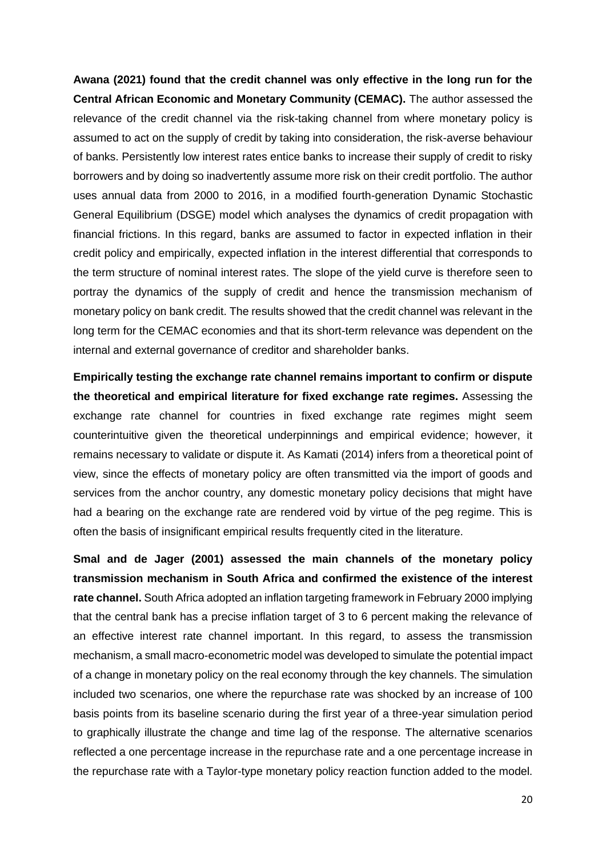**Awana (2021) found that the credit channel was only effective in the long run for the Central African Economic and Monetary Community (CEMAC).** The author assessed the relevance of the credit channel via the risk-taking channel from where monetary policy is assumed to act on the supply of credit by taking into consideration, the risk-averse behaviour of banks. Persistently low interest rates entice banks to increase their supply of credit to risky borrowers and by doing so inadvertently assume more risk on their credit portfolio. The author uses annual data from 2000 to 2016, in a modified fourth-generation Dynamic Stochastic General Equilibrium (DSGE) model which analyses the dynamics of credit propagation with financial frictions. In this regard, banks are assumed to factor in expected inflation in their credit policy and empirically, expected inflation in the interest differential that corresponds to the term structure of nominal interest rates. The slope of the yield curve is therefore seen to portray the dynamics of the supply of credit and hence the transmission mechanism of monetary policy on bank credit. The results showed that the credit channel was relevant in the long term for the CEMAC economies and that its short-term relevance was dependent on the internal and external governance of creditor and shareholder banks.

**Empirically testing the exchange rate channel remains important to confirm or dispute the theoretical and empirical literature for fixed exchange rate regimes.** Assessing the exchange rate channel for countries in fixed exchange rate regimes might seem counterintuitive given the theoretical underpinnings and empirical evidence; however, it remains necessary to validate or dispute it. As Kamati (2014) infers from a theoretical point of view, since the effects of monetary policy are often transmitted via the import of goods and services from the anchor country, any domestic monetary policy decisions that might have had a bearing on the exchange rate are rendered void by virtue of the peg regime. This is often the basis of insignificant empirical results frequently cited in the literature.

**Smal and de Jager (2001) assessed the main channels of the monetary policy transmission mechanism in South Africa and confirmed the existence of the interest rate channel.** South Africa adopted an inflation targeting framework in February 2000 implying that the central bank has a precise inflation target of 3 to 6 percent making the relevance of an effective interest rate channel important. In this regard, to assess the transmission mechanism, a small macro-econometric model was developed to simulate the potential impact of a change in monetary policy on the real economy through the key channels. The simulation included two scenarios, one where the repurchase rate was shocked by an increase of 100 basis points from its baseline scenario during the first year of a three-year simulation period to graphically illustrate the change and time lag of the response. The alternative scenarios reflected a one percentage increase in the repurchase rate and a one percentage increase in the repurchase rate with a Taylor-type monetary policy reaction function added to the model.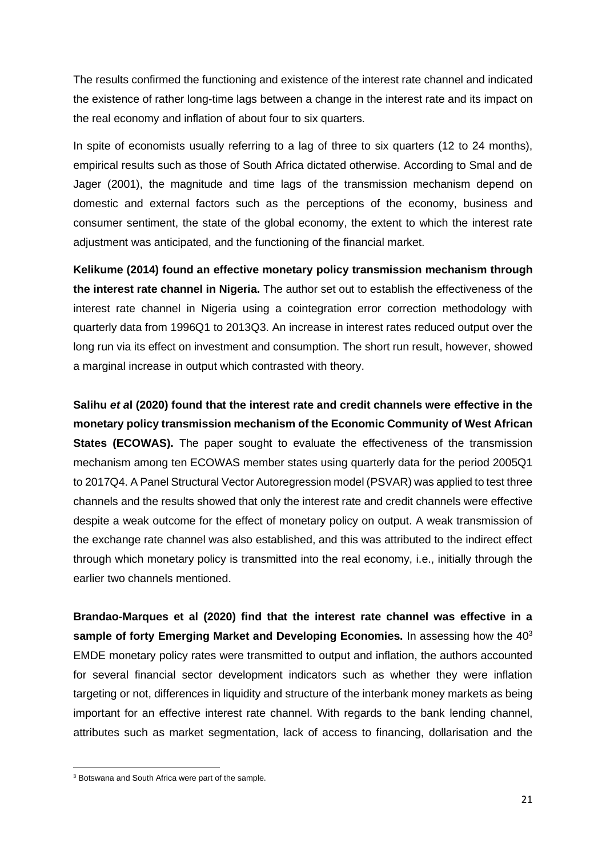The results confirmed the functioning and existence of the interest rate channel and indicated the existence of rather long-time lags between a change in the interest rate and its impact on the real economy and inflation of about four to six quarters.

In spite of economists usually referring to a lag of three to six quarters (12 to 24 months), empirical results such as those of South Africa dictated otherwise. According to Smal and de Jager (2001), the magnitude and time lags of the transmission mechanism depend on domestic and external factors such as the perceptions of the economy, business and consumer sentiment, the state of the global economy, the extent to which the interest rate adjustment was anticipated, and the functioning of the financial market.

**Kelikume (2014) found an effective monetary policy transmission mechanism through the interest rate channel in Nigeria.** The author set out to establish the effectiveness of the interest rate channel in Nigeria using a cointegration error correction methodology with quarterly data from 1996Q1 to 2013Q3. An increase in interest rates reduced output over the long run via its effect on investment and consumption. The short run result, however, showed a marginal increase in output which contrasted with theory.

**Salihu** *et a***l (2020) found that the interest rate and credit channels were effective in the monetary policy transmission mechanism of the Economic Community of West African States (ECOWAS).** The paper sought to evaluate the effectiveness of the transmission mechanism among ten ECOWAS member states using quarterly data for the period 2005Q1 to 2017Q4. A Panel Structural Vector Autoregression model (PSVAR) was applied to test three channels and the results showed that only the interest rate and credit channels were effective despite a weak outcome for the effect of monetary policy on output. A weak transmission of the exchange rate channel was also established, and this was attributed to the indirect effect through which monetary policy is transmitted into the real economy, i.e., initially through the earlier two channels mentioned.

**Brandao-Marques et al (2020) find that the interest rate channel was effective in a sample of forty Emerging Market and Developing Economies.** In assessing how the 40<sup>3</sup> EMDE monetary policy rates were transmitted to output and inflation, the authors accounted for several financial sector development indicators such as whether they were inflation targeting or not, differences in liquidity and structure of the interbank money markets as being important for an effective interest rate channel. With regards to the bank lending channel, attributes such as market segmentation, lack of access to financing, dollarisation and the

<sup>3</sup> Botswana and South Africa were part of the sample.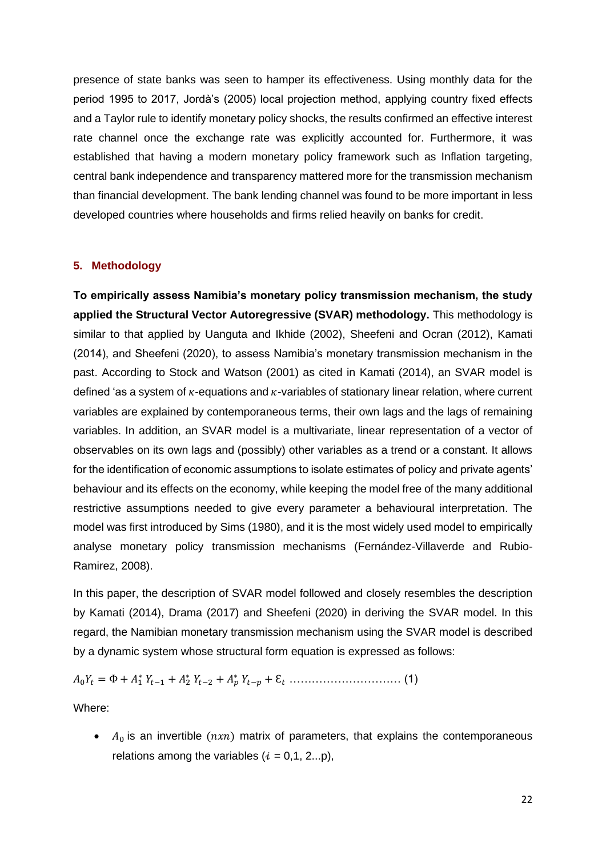presence of state banks was seen to hamper its effectiveness. Using monthly data for the period 1995 to 2017, Jordà's (2005) local projection method, applying country fixed effects and a Taylor rule to identify monetary policy shocks, the results confirmed an effective interest rate channel once the exchange rate was explicitly accounted for. Furthermore, it was established that having a modern monetary policy framework such as Inflation targeting, central bank independence and transparency mattered more for the transmission mechanism than financial development. The bank lending channel was found to be more important in less developed countries where households and firms relied heavily on banks for credit.

# <span id="page-21-0"></span>**5. Methodology**

**To empirically assess Namibia's monetary policy transmission mechanism, the study applied the Structural Vector Autoregressive (SVAR) methodology.** This methodology is similar to that applied by Uanguta and Ikhide (2002), Sheefeni and Ocran (2012), Kamati (2014), and Sheefeni (2020), to assess Namibia's monetary transmission mechanism in the past. According to Stock and Watson (2001) as cited in Kamati (2014), an SVAR model is defined 'as a system of  $\kappa$ -equations and  $\kappa$ -variables of stationary linear relation, where current variables are explained by contemporaneous terms, their own lags and the lags of remaining variables. In addition, an SVAR model is a multivariate, linear representation of a vector of observables on its own lags and (possibly) other variables as a trend or a constant. It allows for the identification of economic assumptions to isolate estimates of policy and private agents' behaviour and its effects on the economy, while keeping the model free of the many additional restrictive assumptions needed to give every parameter a behavioural interpretation. The model was first introduced by Sims (1980), and it is the most widely used model to empirically analyse monetary policy transmission mechanisms (Fernández-Villaverde and Rubio-Ramirez, 2008).

In this paper, the description of SVAR model followed and closely resembles the description by Kamati (2014), Drama (2017) and Sheefeni (2020) in deriving the SVAR model. In this regard, the Namibian monetary transmission mechanism using the SVAR model is described by a dynamic system whose structural form equation is expressed as follows:

0 = Փ + <sup>1</sup> <sup>∗</sup> −1 + <sup>2</sup> <sup>∗</sup> −2 + <sup>∗</sup> − + Ɛ ………………………… (1)

Where:

•  $A_0$  is an invertible  $(nxn)$  matrix of parameters, that explains the contemporaneous relations among the variables  $(i = 0,1, 2...p)$ ,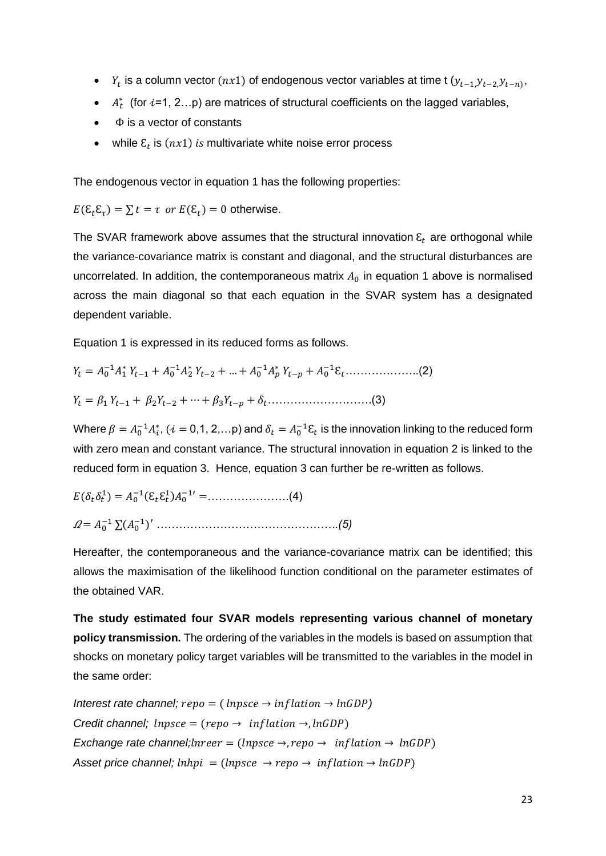- $Y_t$  is a column vector  $(nx1)$  of endogenous vector variables at time t  $(y_{t-1},y_{t-2},y_{t-n})$ ,
- $A_t^*$  (for  $i=1, 2...p$ ) are matrices of structural coefficients on the lagged variables,
- $\bullet$   $\Phi$  is a vector of constants
- while  $\varepsilon_t$  is  $(nx1)$  is multivariate white noise error process

The endogenous vector in equation 1 has the following properties:

 $E(\mathcal{E}_t \mathcal{E}_\tau) = \sum t = \tau \text{ or } E(\mathcal{E}_t) = 0 \text{ otherwise.}$ 

The SVAR framework above assumes that the structural innovation  $\varepsilon_t$  are orthogonal while the variance-covariance matrix is constant and diagonal, and the structural disturbances are uncorrelated. In addition, the contemporaneous matrix  $A_0$  in equation 1 above is normalised across the main diagonal so that each equation in the SVAR system has a designated dependent variable.

Equation 1 is expressed in its reduced forms as follows.

 = <sup>0</sup> −1<sup>1</sup> <sup>∗</sup> −1 + <sup>0</sup> −1<sup>2</sup> <sup>∗</sup> −2 + … + <sup>0</sup> −1 <sup>∗</sup> − + <sup>0</sup> −1Ɛ………………..(2) = <sup>1</sup> −1 + 2−2 + ⋯ + 3− + ……………………….(3)

Where  $\beta = A_0^{-1}A_i^*$ ,  $(i = 0, 1, 2, ...)$  and  $\delta_t = A_0^{-1}\epsilon_t$  is the innovation linking to the reduced form with zero mean and constant variance. The structural innovation in equation 2 is linked to the reduced form in equation 3. Hence, equation 3 can further be re-written as follows.

( 1 ) = <sup>0</sup> −1 (ƐƐ 1 )<sup>0</sup> −1′ =………………….(4) = <sup>0</sup> −1 ∑(<sup>0</sup> −1 )′ *………………………………………….(5)*

Hereafter, the contemporaneous and the variance-covariance matrix can be identified; this allows the maximisation of the likelihood function conditional on the parameter estimates of the obtained VAR.

**The study estimated four SVAR models representing various channel of monetary policy transmission.** The ordering of the variables in the models is based on assumption that shocks on monetary policy target variables will be transmitted to the variables in the model in the same order:

*Interest rate channel;*  $\text{repo} = (\text{lnp} \times \text{er} \rightarrow \text{inf} \cdot \text{let} \rightarrow \text{ln} \cdot \text{GDP})$ *Credit channel;*  $\text{lnp}$ *sce* =  $(\text{rep} \rightarrow \text{inf} \text{lation} \rightarrow \text{ln} \text{GDP})$ *Exchange rate channel; lnreer* = (*lnpsce*  $\rightarrow$ , *repo*  $\rightarrow$  *inflation*  $\rightarrow$  *lnGDP*) *Asset price channel; lnhpi* = (*lnpsce*  $\rightarrow$  *repo*  $\rightarrow$  *inflation*  $\rightarrow$  *lnGDP*)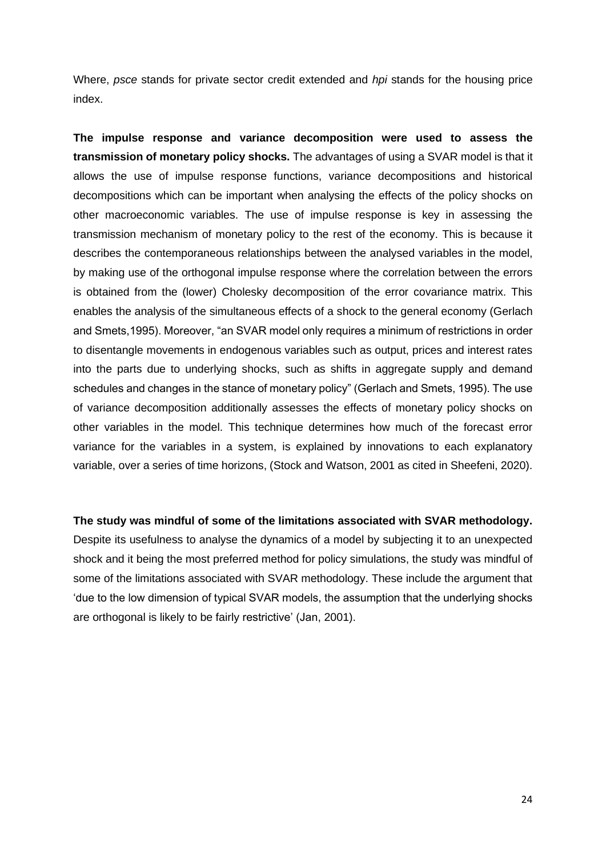Where, *psce* stands for private sector credit extended and *hpi* stands for the housing price index.

**The impulse response and variance decomposition were used to assess the transmission of monetary policy shocks.** The advantages of using a SVAR model is that it allows the use of impulse response functions, variance decompositions and historical decompositions which can be important when analysing the effects of the policy shocks on other macroeconomic variables. The use of impulse response is key in assessing the transmission mechanism of monetary policy to the rest of the economy. This is because it describes the contemporaneous relationships between the analysed variables in the model, by making use of the orthogonal impulse response where the correlation between the errors is obtained from the (lower) Cholesky decomposition of the error covariance matrix. This enables the analysis of the simultaneous effects of a shock to the general economy (Gerlach and Smets,1995). Moreover, "an SVAR model only requires a minimum of restrictions in order to disentangle movements in endogenous variables such as output, prices and interest rates into the parts due to underlying shocks, such as shifts in aggregate supply and demand schedules and changes in the stance of monetary policy" (Gerlach and Smets, 1995). The use of variance decomposition additionally assesses the effects of monetary policy shocks on other variables in the model. This technique determines how much of the forecast error variance for the variables in a system, is explained by innovations to each explanatory variable, over a series of time horizons, (Stock and Watson, 2001 as cited in Sheefeni, 2020).

**The study was mindful of some of the limitations associated with SVAR methodology.**

Despite its usefulness to analyse the dynamics of a model by subjecting it to an unexpected shock and it being the most preferred method for policy simulations, the study was mindful of some of the limitations associated with SVAR methodology. These include the argument that 'due to the low dimension of typical SVAR models, the assumption that the underlying shocks are orthogonal is likely to be fairly restrictive' (Jan, 2001).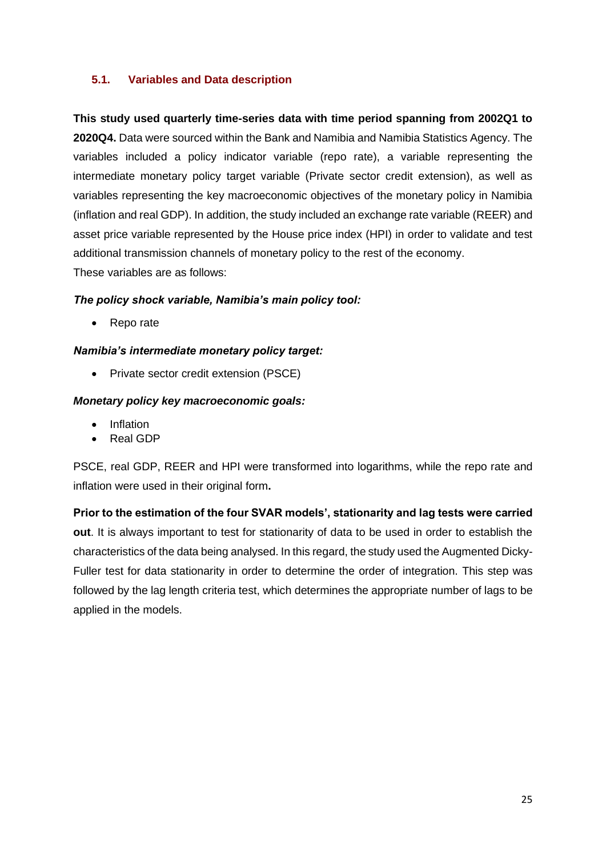# **5.1. Variables and Data description**

**This study used quarterly time-series data with time period spanning from 2002Q1 to 2020Q4.** Data were sourced within the Bank and Namibia and Namibia Statistics Agency. The variables included a policy indicator variable (repo rate), a variable representing the intermediate monetary policy target variable (Private sector credit extension), as well as variables representing the key macroeconomic objectives of the monetary policy in Namibia (inflation and real GDP). In addition, the study included an exchange rate variable (REER) and asset price variable represented by the House price index (HPI) in order to validate and test additional transmission channels of monetary policy to the rest of the economy. These variables are as follows:

# *The policy shock variable, Namibia's main policy tool:*

• Repo rate

# *Namibia's intermediate monetary policy target:*

• Private sector credit extension (PSCE)

# *Monetary policy key macroeconomic goals:*

- Inflation
- Real GDP

PSCE, real GDP, REER and HPI were transformed into logarithms, while the repo rate and inflation were used in their original form**.** 

**Prior to the estimation of the four SVAR models', stationarity and lag tests were carried out**. It is always important to test for stationarity of data to be used in order to establish the characteristics of the data being analysed. In this regard, the study used the Augmented Dicky-Fuller test for data stationarity in order to determine the order of integration. This step was followed by the lag length criteria test, which determines the appropriate number of lags to be applied in the models.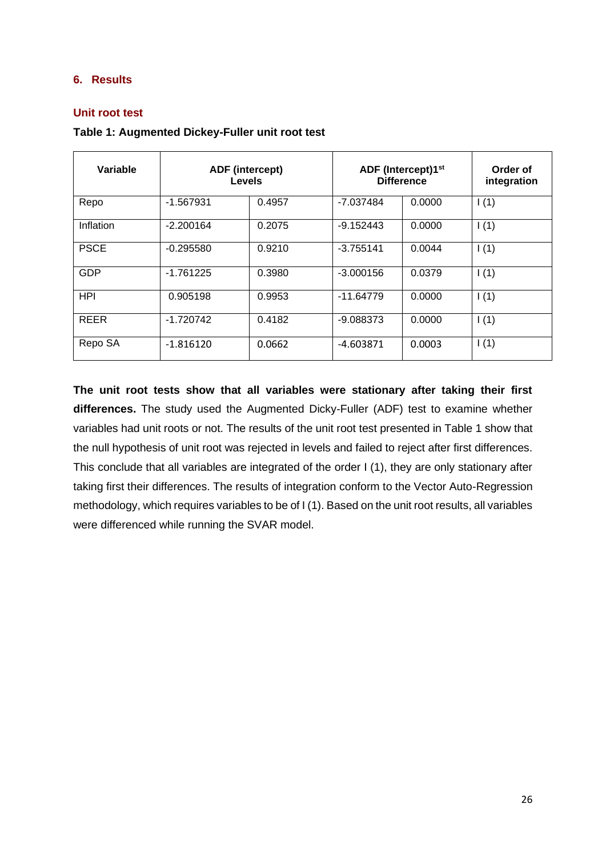# <span id="page-25-0"></span>**6. Results**

# **Unit root test**

| Table 1: Augmented Dickey-Fuller unit root test |  |  |  |
|-------------------------------------------------|--|--|--|
|-------------------------------------------------|--|--|--|

| Variable    | <b>ADF</b> (intercept)<br><b>Levels</b> |        | ADF (Intercept)1 <sup>st</sup><br><b>Difference</b> | Order of<br>integration |      |
|-------------|-----------------------------------------|--------|-----------------------------------------------------|-------------------------|------|
| Repo        | $-1.567931$                             | 0.4957 | -7.037484                                           | 0.0000                  | 1(1) |
| Inflation   | $-2.200164$                             | 0.2075 | $-9.152443$                                         | 0.0000                  | 1(1) |
| <b>PSCE</b> | $-0.295580$                             | 0.9210 | $-3.755141$                                         | 0.0044                  | 1(1) |
| <b>GDP</b>  | $-1.761225$                             | 0.3980 | $-3.000156$                                         | 0.0379                  | 1(1) |
| <b>HPI</b>  | 0.905198                                | 0.9953 | $-11.64779$                                         | 0.0000                  | 1(1) |
| <b>REER</b> | $-1.720742$                             | 0.4182 | $-9.088373$                                         | 0.0000                  | 1(1) |
| Repo SA     | $-1.816120$                             | 0.0662 | -4.603871                                           | 0.0003                  | 1(1) |

**The unit root tests show that all variables were stationary after taking their first differences.** The study used the Augmented Dicky-Fuller (ADF) test to examine whether variables had unit roots or not. The results of the unit root test presented in Table 1 show that the null hypothesis of unit root was rejected in levels and failed to reject after first differences. This conclude that all variables are integrated of the order I (1), they are only stationary after taking first their differences. The results of integration conform to the Vector Auto-Regression methodology, which requires variables to be of I (1). Based on the unit root results, all variables were differenced while running the SVAR model.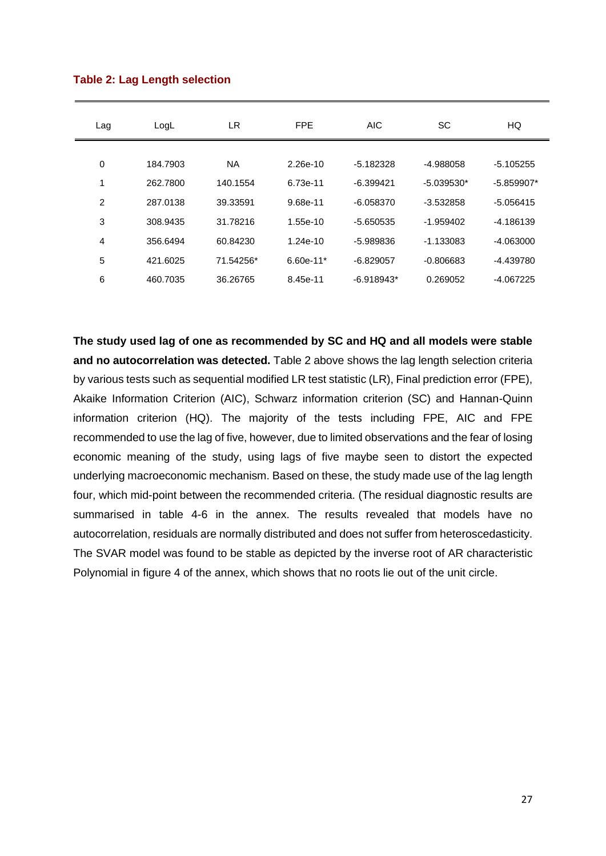| Lag            | LogL     | LR.       | <b>FPE</b>  | <b>AIC</b>   | SC           | HQ           |
|----------------|----------|-----------|-------------|--------------|--------------|--------------|
|                |          |           |             |              |              |              |
| 0              | 184.7903 | <b>NA</b> | 2.26e-10    | $-5.182328$  | -4.988058    | $-5.105255$  |
| 1              | 262.7800 | 140.1554  | 6.73e-11    | $-6.399421$  | $-5.039530*$ | $-5.859907*$ |
| 2              | 287.0138 | 39.33591  | 9.68e-11    | $-6.058370$  | $-3.532858$  | $-5.056415$  |
| 3              | 308.9435 | 31.78216  | 1.55e-10    | $-5.650535$  | $-1.959402$  | $-4.186139$  |
| $\overline{4}$ | 356.6494 | 60.84230  | 1.24e-10    | $-5.989836$  | $-1.133083$  | $-4.063000$  |
| 5              | 421.6025 | 71.54256* | $6.60e-11*$ | $-6.829057$  | $-0.806683$  | $-4.439780$  |
| 6              | 460.7035 | 36.26765  | 8.45e-11    | $-6.918943*$ | 0.269052     | $-4.067225$  |

#### **Table 2: Lag Length selection**

**The study used lag of one as recommended by SC and HQ and all models were stable and no autocorrelation was detected.** Table 2 above shows the lag length selection criteria by various tests such as sequential modified LR test statistic (LR), Final prediction error (FPE), Akaike Information Criterion (AIC), Schwarz information criterion (SC) and Hannan-Quinn information criterion (HQ). The majority of the tests including FPE, AIC and FPE recommended to use the lag of five, however, due to limited observations and the fear of losing economic meaning of the study, using lags of five maybe seen to distort the expected underlying macroeconomic mechanism. Based on these, the study made use of the lag length four, which mid-point between the recommended criteria. (The residual diagnostic results are summarised in table 4-6 in the annex. The results revealed that models have no autocorrelation, residuals are normally distributed and does not suffer from heteroscedasticity. The SVAR model was found to be stable as depicted by the inverse root of AR characteristic Polynomial in figure 4 of the annex, which shows that no roots lie out of the unit circle.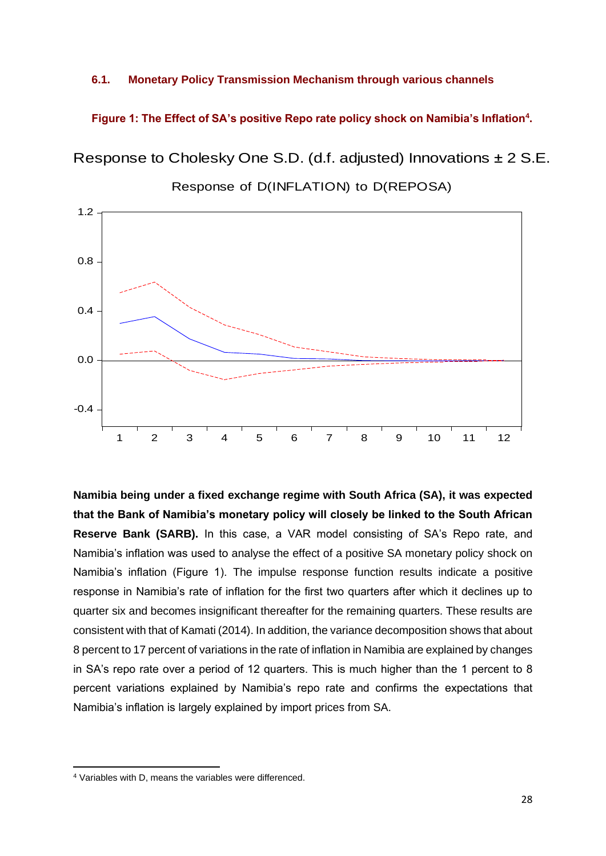#### **6.1. Monetary Policy Transmission Mechanism through various channels**

**Figure 1: The Effect of SA's positive Repo rate policy shock on Namibia's Inflation<sup>4</sup> .**

Response to Cholesky One S.D. (d.f. adjusted) Innovations ± 2 S.E.



Response of D(INFLATION) to D(REPOSA)

**Namibia being under a fixed exchange regime with South Africa (SA), it was expected that the Bank of Namibia's monetary policy will closely be linked to the South African Reserve Bank (SARB).** In this case, a VAR model consisting of SA's Repo rate, and Namibia's inflation was used to analyse the effect of a positive SA monetary policy shock on Namibia's inflation (Figure 1). The impulse response function results indicate a positive response in Namibia's rate of inflation for the first two quarters after which it declines up to quarter six and becomes insignificant thereafter for the remaining quarters. These results are consistent with that of Kamati (2014). In addition, the variance decomposition shows that about 8 percent to 17 percent of variations in the rate of inflation in Namibia are explained by changes in SA's repo rate over a period of 12 quarters. This is much higher than the 1 percent to 8 percent variations explained by Namibia's repo rate and confirms the expectations that Namibia's inflation is largely explained by import prices from SA.

<sup>4</sup> Variables with D, means the variables were differenced.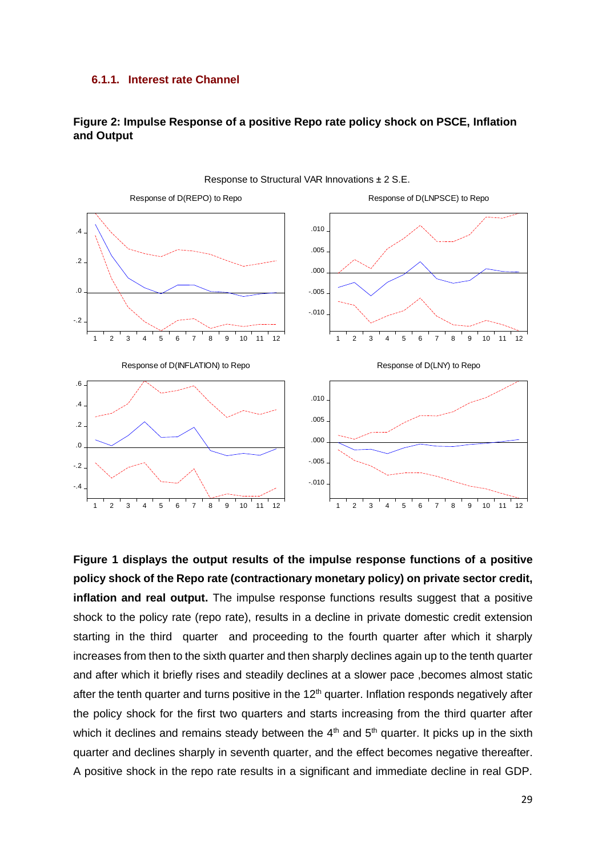#### **6.1.1. Interest rate Channel**

# **and Output**



**Figure 2: Impulse Response of a positive Repo rate policy shock on PSCE, Inflation** 

**Figure 1 displays the output results of the impulse response functions of a positive policy shock of the Repo rate (contractionary monetary policy) on private sector credit, inflation and real output.** The impulse response functions results suggest that a positive shock to the policy rate (repo rate), results in a decline in private domestic credit extension starting in the third quarter and proceeding to the fourth quarter after which it sharply increases from then to the sixth quarter and then sharply declines again up to the tenth quarter and after which it briefly rises and steadily declines at a slower pace ,becomes almost static after the tenth quarter and turns positive in the  $12<sup>th</sup>$  quarter. Inflation responds negatively after the policy shock for the first two quarters and starts increasing from the third quarter after which it declines and remains steady between the  $4<sup>th</sup>$  and  $5<sup>th</sup>$  quarter. It picks up in the sixth quarter and declines sharply in seventh quarter, and the effect becomes negative thereafter. A positive shock in the repo rate results in a significant and immediate decline in real GDP.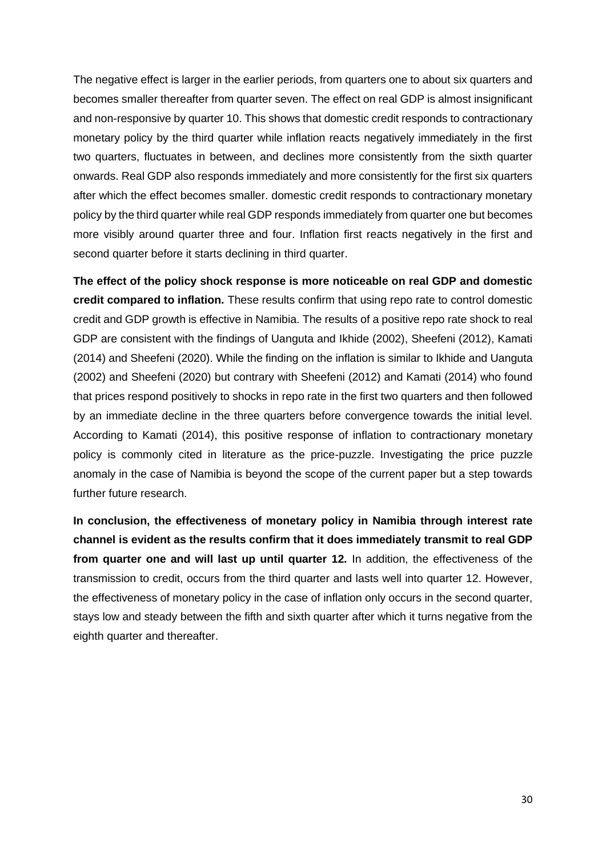The negative effect is larger in the earlier periods, from quarters one to about six quarters and becomes smaller thereafter from quarter seven. The effect on real GDP is almost insignificant and non-responsive by quarter 10. This shows that domestic credit responds to contractionary monetary policy by the third quarter while inflation reacts negatively immediately in the first two quarters, fluctuates in between, and declines more consistently from the sixth quarter onwards. Real GDP also responds immediately and more consistently for the first six quarters after which the effect becomes smaller. domestic credit responds to contractionary monetary policy by the third quarter while real GDP responds immediately from quarter one but becomes more visibly around quarter three and four. Inflation first reacts negatively in the first and second quarter before it starts declining in third quarter.

**The effect of the policy shock response is more noticeable on real GDP and domestic credit compared to inflation.** These results confirm that using repo rate to control domestic credit and GDP growth is effective in Namibia. The results of a positive repo rate shock to real GDP are consistent with the findings of Uanguta and Ikhide (2002), Sheefeni (2012), Kamati (2014) and Sheefeni (2020). While the finding on the inflation is similar to Ikhide and Uanguta (2002) and Sheefeni (2020) but contrary with Sheefeni (2012) and Kamati (2014) who found that prices respond positively to shocks in repo rate in the first two quarters and then followed by an immediate decline in the three quarters before convergence towards the initial level. According to Kamati (2014), this positive response of inflation to contractionary monetary policy is commonly cited in literature as the price-puzzle. Investigating the price puzzle anomaly in the case of Namibia is beyond the scope of the current paper but a step towards further future research.

**In conclusion, the effectiveness of monetary policy in Namibia through interest rate channel is evident as the results confirm that it does immediately transmit to real GDP from quarter one and will last up until quarter 12.** In addition, the effectiveness of the transmission to credit, occurs from the third quarter and lasts well into quarter 12. However, the effectiveness of monetary policy in the case of inflation only occurs in the second quarter, stays low and steady between the fifth and sixth quarter after which it turns negative from the eighth quarter and thereafter.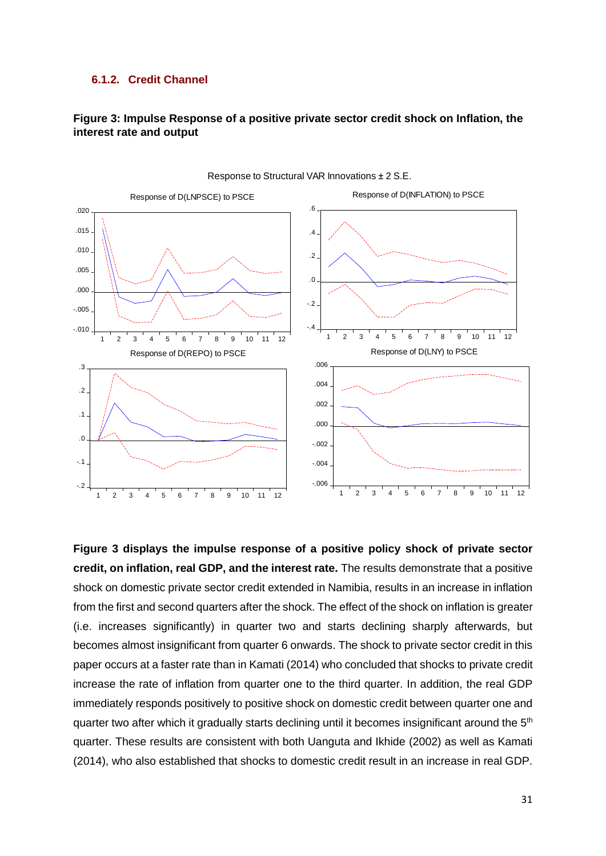#### **6.1.2. Credit Channel**

# **Figure 3: Impulse Response of a positive private sector credit shock on Inflation, the interest rate and output**



Response to Structural VAR Innovations ± 2 S.E.

**Figure 3 displays the impulse response of a positive policy shock of private sector credit, on inflation, real GDP, and the interest rate.** The results demonstrate that a positive shock on domestic private sector credit extended in Namibia, results in an increase in inflation from the first and second quarters after the shock. The effect of the shock on inflation is greater (i.e. increases significantly) in quarter two and starts declining sharply afterwards, but becomes almost insignificant from quarter 6 onwards. The shock to private sector credit in this paper occurs at a faster rate than in Kamati (2014) who concluded that shocks to private credit increase the rate of inflation from quarter one to the third quarter. In addition, the real GDP immediately responds positively to positive shock on domestic credit between quarter one and quarter two after which it gradually starts declining until it becomes insignificant around the 5<sup>th</sup> quarter. These results are consistent with both Uanguta and Ikhide (2002) as well as Kamati (2014), who also established that shocks to domestic credit result in an increase in real GDP.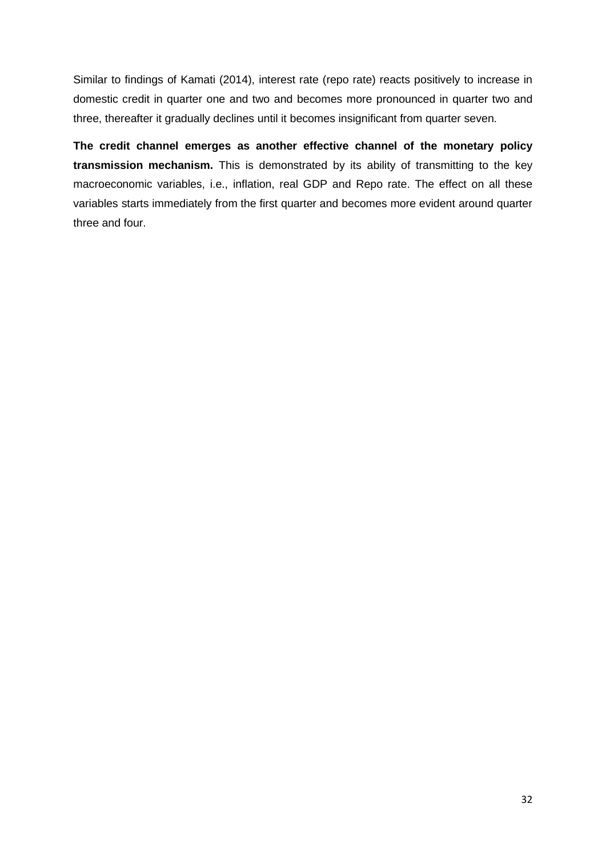Similar to findings of Kamati (2014), interest rate (repo rate) reacts positively to increase in domestic credit in quarter one and two and becomes more pronounced in quarter two and three, thereafter it gradually declines until it becomes insignificant from quarter seven.

**The credit channel emerges as another effective channel of the monetary policy transmission mechanism.** This is demonstrated by its ability of transmitting to the key macroeconomic variables, i.e., inflation, real GDP and Repo rate. The effect on all these variables starts immediately from the first quarter and becomes more evident around quarter three and four.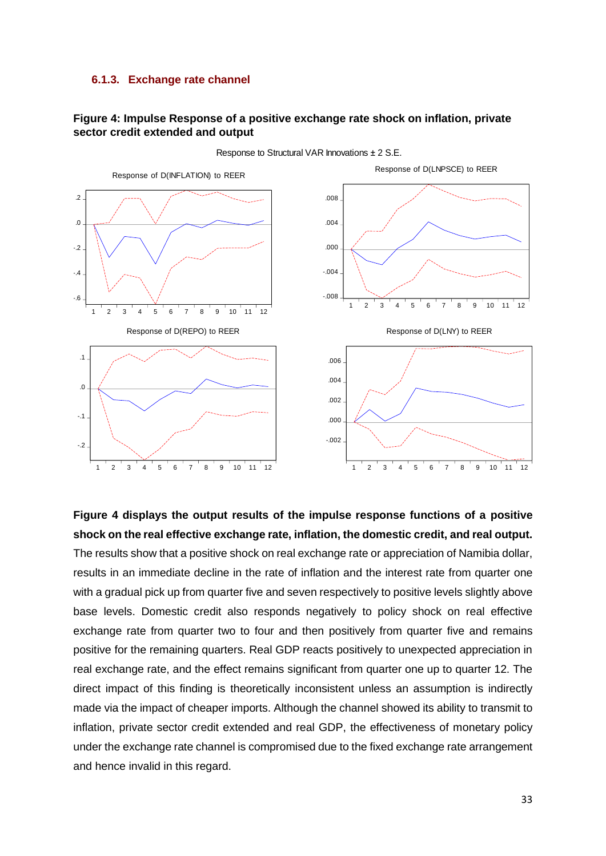#### **6.1.3. Exchange rate channel**

# **Figure 4: Impulse Response of a positive exchange rate shock on inflation, private sector credit extended and output**



Response to Structural VAR Innovations ± 2 S.E.

**Figure 4 displays the output results of the impulse response functions of a positive shock on the real effective exchange rate, inflation, the domestic credit, and real output.** The results show that a positive shock on real exchange rate or appreciation of Namibia dollar, results in an immediate decline in the rate of inflation and the interest rate from quarter one with a gradual pick up from quarter five and seven respectively to positive levels slightly above base levels. Domestic credit also responds negatively to policy shock on real effective exchange rate from quarter two to four and then positively from quarter five and remains positive for the remaining quarters. Real GDP reacts positively to unexpected appreciation in real exchange rate, and the effect remains significant from quarter one up to quarter 12. The direct impact of this finding is theoretically inconsistent unless an assumption is indirectly made via the impact of cheaper imports. Although the channel showed its ability to transmit to inflation, private sector credit extended and real GDP, the effectiveness of monetary policy under the exchange rate channel is compromised due to the fixed exchange rate arrangement and hence invalid in this regard.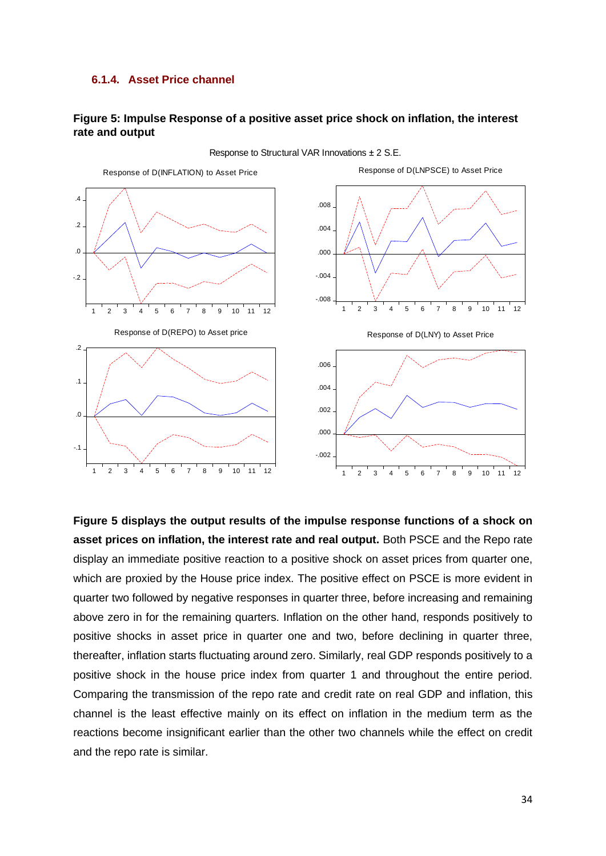## **6.1.4. Asset Price channel**

## **Figure 5: Impulse Response of a positive asset price shock on inflation, the interest rate and output**



**Figure 5 displays the output results of the impulse response functions of a shock on asset prices on inflation, the interest rate and real output.** Both PSCE and the Repo rate display an immediate positive reaction to a positive shock on asset prices from quarter one, which are proxied by the House price index. The positive effect on PSCE is more evident in quarter two followed by negative responses in quarter three, before increasing and remaining above zero in for the remaining quarters. Inflation on the other hand, responds positively to positive shocks in asset price in quarter one and two, before declining in quarter three, thereafter, inflation starts fluctuating around zero. Similarly, real GDP responds positively to a positive shock in the house price index from quarter 1 and throughout the entire period. Comparing the transmission of the repo rate and credit rate on real GDP and inflation, this channel is the least effective mainly on its effect on inflation in the medium term as the reactions become insignificant earlier than the other two channels while the effect on credit and the repo rate is similar.

Response to Structural VAR Innovations ± 2 S.E.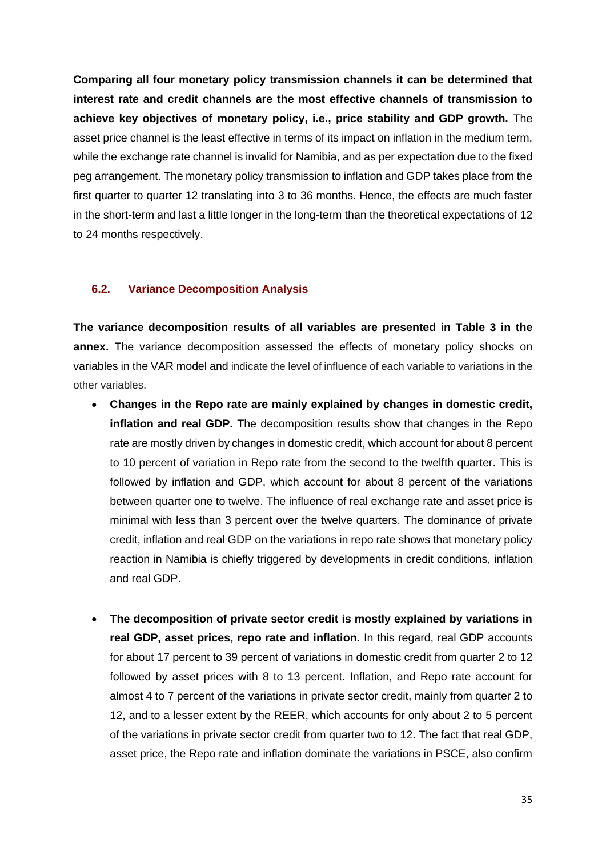**Comparing all four monetary policy transmission channels it can be determined that interest rate and credit channels are the most effective channels of transmission to achieve key objectives of monetary policy, i.e., price stability and GDP growth.** The asset price channel is the least effective in terms of its impact on inflation in the medium term, while the exchange rate channel is invalid for Namibia, and as per expectation due to the fixed peg arrangement. The monetary policy transmission to inflation and GDP takes place from the first quarter to quarter 12 translating into 3 to 36 months. Hence, the effects are much faster in the short-term and last a little longer in the long-term than the theoretical expectations of 12 to 24 months respectively.

# **6.2. Variance Decomposition Analysis**

**The variance decomposition results of all variables are presented in Table 3 in the annex.** The variance decomposition assessed the effects of monetary policy shocks on variables in the VAR model and indicate the level of influence of each variable to variations in the other variables.

- **Changes in the Repo rate are mainly explained by changes in domestic credit, inflation and real GDP.** The decomposition results show that changes in the Repo rate are mostly driven by changes in domestic credit, which account for about 8 percent to 10 percent of variation in Repo rate from the second to the twelfth quarter. This is followed by inflation and GDP, which account for about 8 percent of the variations between quarter one to twelve. The influence of real exchange rate and asset price is minimal with less than 3 percent over the twelve quarters. The dominance of private credit, inflation and real GDP on the variations in repo rate shows that monetary policy reaction in Namibia is chiefly triggered by developments in credit conditions, inflation and real GDP.
- **The decomposition of private sector credit is mostly explained by variations in real GDP, asset prices, repo rate and inflation.** In this regard, real GDP accounts for about 17 percent to 39 percent of variations in domestic credit from quarter 2 to 12 followed by asset prices with 8 to 13 percent. Inflation, and Repo rate account for almost 4 to 7 percent of the variations in private sector credit, mainly from quarter 2 to 12, and to a lesser extent by the REER, which accounts for only about 2 to 5 percent of the variations in private sector credit from quarter two to 12. The fact that real GDP, asset price, the Repo rate and inflation dominate the variations in PSCE, also confirm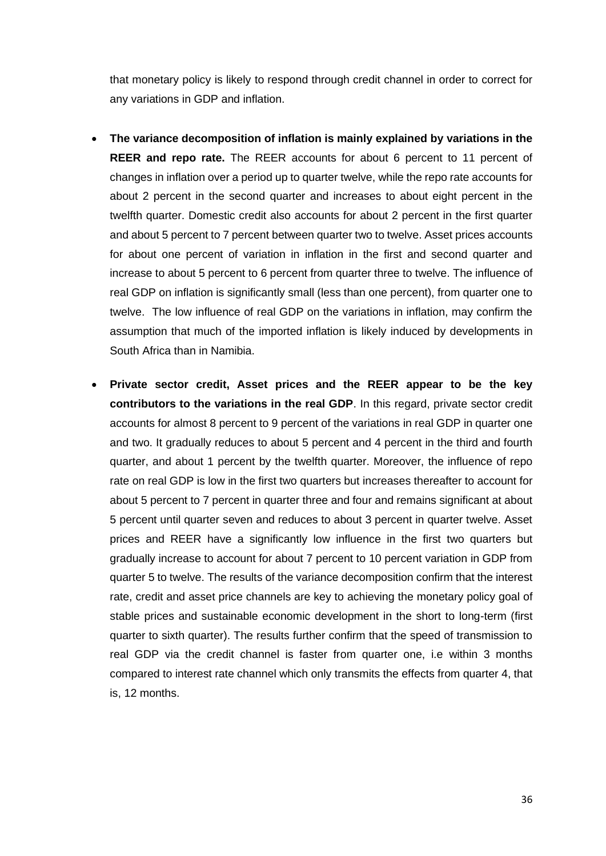that monetary policy is likely to respond through credit channel in order to correct for any variations in GDP and inflation.

- **The variance decomposition of inflation is mainly explained by variations in the REER and repo rate.** The REER accounts for about 6 percent to 11 percent of changes in inflation over a period up to quarter twelve, while the repo rate accounts for about 2 percent in the second quarter and increases to about eight percent in the twelfth quarter. Domestic credit also accounts for about 2 percent in the first quarter and about 5 percent to 7 percent between quarter two to twelve. Asset prices accounts for about one percent of variation in inflation in the first and second quarter and increase to about 5 percent to 6 percent from quarter three to twelve. The influence of real GDP on inflation is significantly small (less than one percent), from quarter one to twelve. The low influence of real GDP on the variations in inflation, may confirm the assumption that much of the imported inflation is likely induced by developments in South Africa than in Namibia.
- **Private sector credit, Asset prices and the REER appear to be the key contributors to the variations in the real GDP**. In this regard, private sector credit accounts for almost 8 percent to 9 percent of the variations in real GDP in quarter one and two. It gradually reduces to about 5 percent and 4 percent in the third and fourth quarter, and about 1 percent by the twelfth quarter. Moreover, the influence of repo rate on real GDP is low in the first two quarters but increases thereafter to account for about 5 percent to 7 percent in quarter three and four and remains significant at about 5 percent until quarter seven and reduces to about 3 percent in quarter twelve. Asset prices and REER have a significantly low influence in the first two quarters but gradually increase to account for about 7 percent to 10 percent variation in GDP from quarter 5 to twelve. The results of the variance decomposition confirm that the interest rate, credit and asset price channels are key to achieving the monetary policy goal of stable prices and sustainable economic development in the short to long-term (first quarter to sixth quarter). The results further confirm that the speed of transmission to real GDP via the credit channel is faster from quarter one, i.e within 3 months compared to interest rate channel which only transmits the effects from quarter 4, that is, 12 months.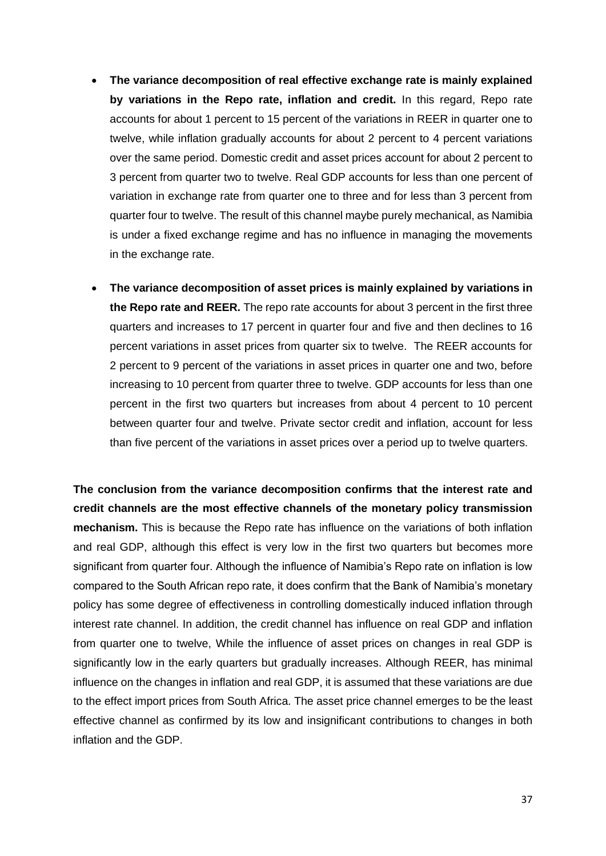- **The variance decomposition of real effective exchange rate is mainly explained by variations in the Repo rate, inflation and credit.** In this regard, Repo rate accounts for about 1 percent to 15 percent of the variations in REER in quarter one to twelve, while inflation gradually accounts for about 2 percent to 4 percent variations over the same period. Domestic credit and asset prices account for about 2 percent to 3 percent from quarter two to twelve. Real GDP accounts for less than one percent of variation in exchange rate from quarter one to three and for less than 3 percent from quarter four to twelve. The result of this channel maybe purely mechanical, as Namibia is under a fixed exchange regime and has no influence in managing the movements in the exchange rate.
- **The variance decomposition of asset prices is mainly explained by variations in the Repo rate and REER.** The repo rate accounts for about 3 percent in the first three quarters and increases to 17 percent in quarter four and five and then declines to 16 percent variations in asset prices from quarter six to twelve. The REER accounts for 2 percent to 9 percent of the variations in asset prices in quarter one and two, before increasing to 10 percent from quarter three to twelve. GDP accounts for less than one percent in the first two quarters but increases from about 4 percent to 10 percent between quarter four and twelve. Private sector credit and inflation, account for less than five percent of the variations in asset prices over a period up to twelve quarters.

**The conclusion from the variance decomposition confirms that the interest rate and credit channels are the most effective channels of the monetary policy transmission mechanism.** This is because the Repo rate has influence on the variations of both inflation and real GDP, although this effect is very low in the first two quarters but becomes more significant from quarter four. Although the influence of Namibia's Repo rate on inflation is low compared to the South African repo rate, it does confirm that the Bank of Namibia's monetary policy has some degree of effectiveness in controlling domestically induced inflation through interest rate channel. In addition, the credit channel has influence on real GDP and inflation from quarter one to twelve, While the influence of asset prices on changes in real GDP is significantly low in the early quarters but gradually increases. Although REER, has minimal influence on the changes in inflation and real GDP, it is assumed that these variations are due to the effect import prices from South Africa. The asset price channel emerges to be the least effective channel as confirmed by its low and insignificant contributions to changes in both inflation and the GDP.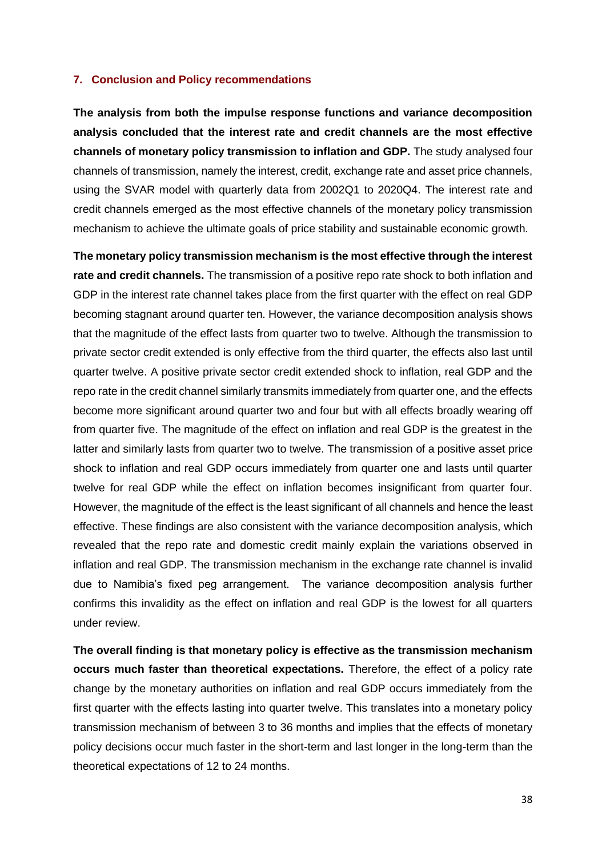#### <span id="page-37-0"></span>**7. Conclusion and Policy recommendations**

**The analysis from both the impulse response functions and variance decomposition analysis concluded that the interest rate and credit channels are the most effective channels of monetary policy transmission to inflation and GDP.** The study analysed four channels of transmission, namely the interest, credit, exchange rate and asset price channels, using the SVAR model with quarterly data from 2002Q1 to 2020Q4. The interest rate and credit channels emerged as the most effective channels of the monetary policy transmission mechanism to achieve the ultimate goals of price stability and sustainable economic growth.

**The monetary policy transmission mechanism is the most effective through the interest rate and credit channels.** The transmission of a positive repo rate shock to both inflation and GDP in the interest rate channel takes place from the first quarter with the effect on real GDP becoming stagnant around quarter ten. However, the variance decomposition analysis shows that the magnitude of the effect lasts from quarter two to twelve. Although the transmission to private sector credit extended is only effective from the third quarter, the effects also last until quarter twelve. A positive private sector credit extended shock to inflation, real GDP and the repo rate in the credit channel similarly transmits immediately from quarter one, and the effects become more significant around quarter two and four but with all effects broadly wearing off from quarter five. The magnitude of the effect on inflation and real GDP is the greatest in the latter and similarly lasts from quarter two to twelve. The transmission of a positive asset price shock to inflation and real GDP occurs immediately from quarter one and lasts until quarter twelve for real GDP while the effect on inflation becomes insignificant from quarter four. However, the magnitude of the effect is the least significant of all channels and hence the least effective. These findings are also consistent with the variance decomposition analysis, which revealed that the repo rate and domestic credit mainly explain the variations observed in inflation and real GDP. The transmission mechanism in the exchange rate channel is invalid due to Namibia's fixed peg arrangement. The variance decomposition analysis further confirms this invalidity as the effect on inflation and real GDP is the lowest for all quarters under review.

**The overall finding is that monetary policy is effective as the transmission mechanism occurs much faster than theoretical expectations.** Therefore, the effect of a policy rate change by the monetary authorities on inflation and real GDP occurs immediately from the first quarter with the effects lasting into quarter twelve. This translates into a monetary policy transmission mechanism of between 3 to 36 months and implies that the effects of monetary policy decisions occur much faster in the short-term and last longer in the long-term than the theoretical expectations of 12 to 24 months.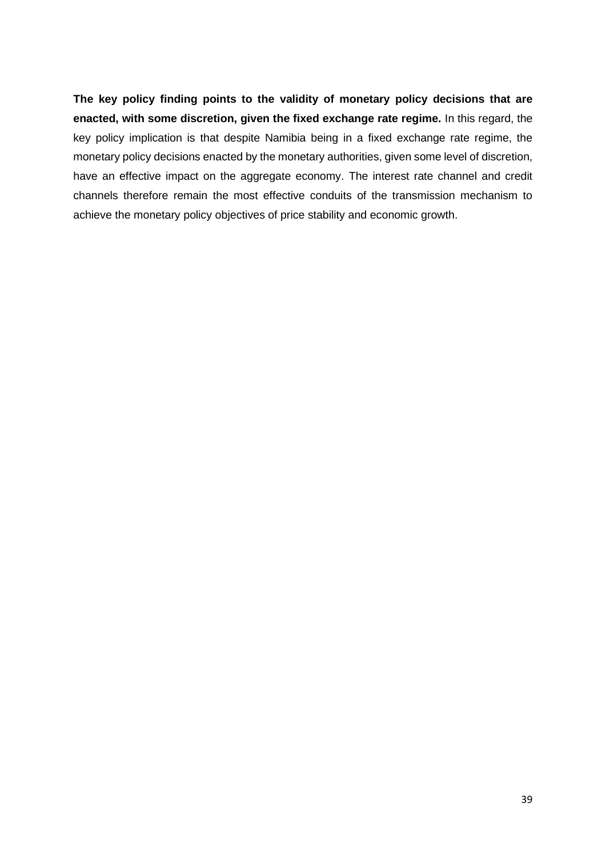**The key policy finding points to the validity of monetary policy decisions that are enacted, with some discretion, given the fixed exchange rate regime.** In this regard, the key policy implication is that despite Namibia being in a fixed exchange rate regime, the monetary policy decisions enacted by the monetary authorities, given some level of discretion, have an effective impact on the aggregate economy. The interest rate channel and credit channels therefore remain the most effective conduits of the transmission mechanism to achieve the monetary policy objectives of price stability and economic growth.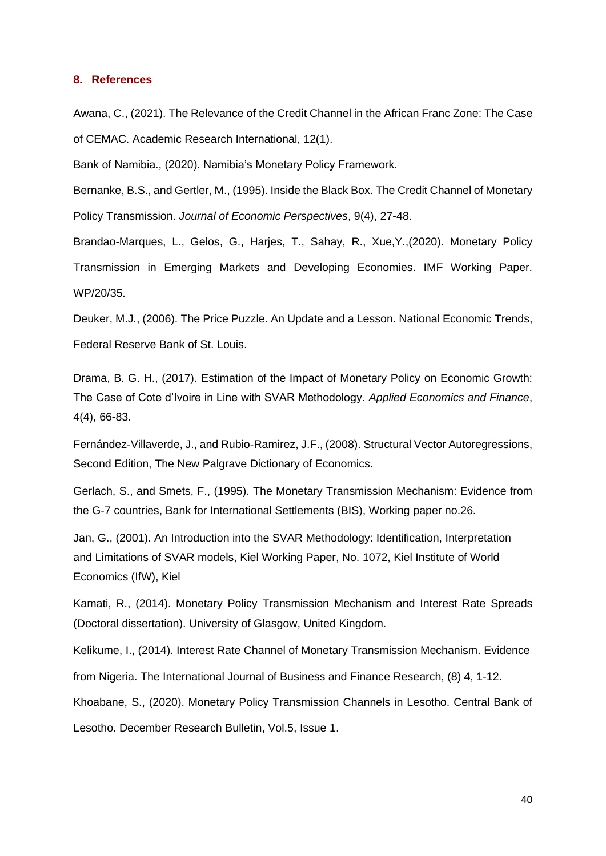#### <span id="page-39-0"></span>**8. References**

Awana, C., (2021). The Relevance of the Credit Channel in the African Franc Zone: The Case of CEMAC. Academic Research International, 12(1).

Bank of Namibia., (2020). Namibia's Monetary Policy Framework.

Bernanke, B.S., and Gertler, M., (1995). Inside the Black Box. The Credit Channel of Monetary Policy Transmission. *Journal of Economic Perspectives*, 9(4), 27-48.

Brandao-Marques, L., Gelos, G., Harjes, T., Sahay, R., Xue,Y.,(2020). Monetary Policy Transmission in Emerging Markets and Developing Economies. IMF Working Paper. WP/20/35.

Deuker, M.J., (2006). The Price Puzzle. An Update and a Lesson. National Economic Trends, Federal Reserve Bank of St. Louis.

Drama, B. G. H., (2017). Estimation of the Impact of Monetary Policy on Economic Growth: The Case of Cote d'Ivoire in Line with SVAR Methodology. *Applied Economics and Finance*, 4(4), 66-83.

Fernández-Villaverde, J., and Rubio-Ramirez, J.F., (2008). Structural Vector Autoregressions, Second Edition, The New Palgrave Dictionary of Economics.

Gerlach, S., and Smets, F., (1995). The Monetary Transmission Mechanism: Evidence from the G-7 countries, Bank for International Settlements (BIS), Working paper no.26.

Jan, G., (2001). An Introduction into the SVAR Methodology: Identification, Interpretation and Limitations of SVAR models, Kiel Working Paper, No. 1072, Kiel Institute of World Economics (IfW), Kiel

Kamati, R., (2014). Monetary Policy Transmission Mechanism and Interest Rate Spreads (Doctoral dissertation). University of Glasgow, United Kingdom.

Kelikume, I., (2014). Interest Rate Channel of Monetary Transmission Mechanism. Evidence from Nigeria. The International Journal of Business and Finance Research, (8) 4, 1-12.

Khoabane, S., (2020). Monetary Policy Transmission Channels in Lesotho. Central Bank of Lesotho. December Research Bulletin, Vol.5, Issue 1.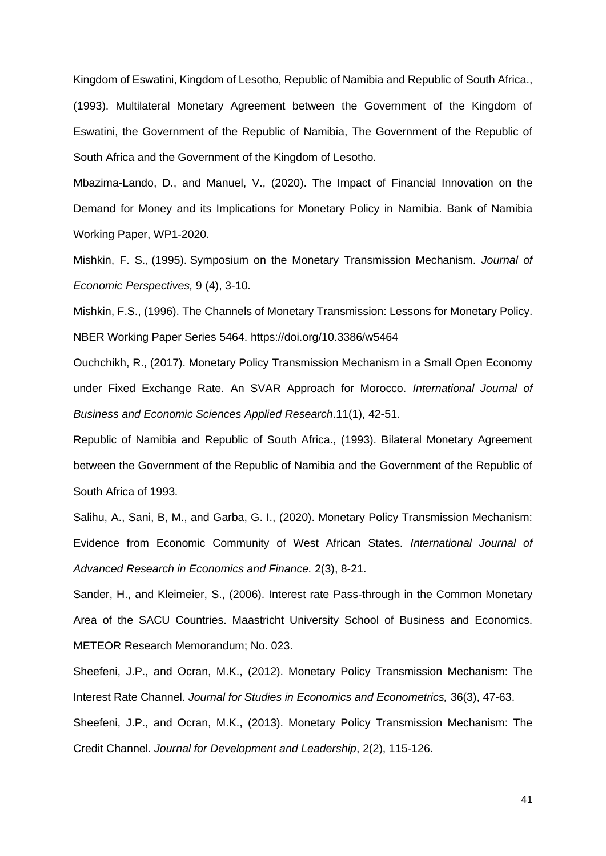Kingdom of Eswatini, Kingdom of Lesotho, Republic of Namibia and Republic of South Africa., (1993). Multilateral Monetary Agreement between the Government of the Kingdom of Eswatini, the Government of the Republic of Namibia, The Government of the Republic of South Africa and the Government of the Kingdom of Lesotho.

Mbazima-Lando, D., and Manuel, V., (2020). The Impact of Financial Innovation on the Demand for Money and its Implications for Monetary Policy in Namibia. Bank of Namibia Working Paper, WP1-2020.

Mishkin, F. S., (1995). Symposium on the Monetary Transmission Mechanism. *Journal of Economic Perspectives,* 9 (4), 3-10.

Mishkin, F.S., (1996). The Channels of Monetary Transmission: Lessons for Monetary Policy. NBER Working Paper Series 5464.<https://doi.org/10.3386/w5464>

Ouchchikh, R., (2017). Monetary Policy Transmission Mechanism in a Small Open Economy under Fixed Exchange Rate. An SVAR Approach for Morocco. *International Journal of Business and Economic Sciences Applied Research*.11(1), 42-51.

Republic of Namibia and Republic of South Africa., (1993). Bilateral Monetary Agreement between the Government of the Republic of Namibia and the Government of the Republic of South Africa of 1993.

Salihu, A., Sani, B, M., and Garba, G. I., (2020). Monetary Policy Transmission Mechanism: Evidence from Economic Community of West African States. *International Journal of Advanced Research in Economics and Finance.* 2(3), 8-21.

Sander, H., and Kleimeier, S., (2006). Interest rate Pass-through in the Common Monetary Area of the SACU Countries. Maastricht University School of Business and Economics. METEOR Research Memorandum; No. 023.

Sheefeni, J.P., and Ocran, M.K., (2012). Monetary Policy Transmission Mechanism: The Interest Rate Channel. *Journal for Studies in Economics and Econometrics,* 36(3), 47-63. Sheefeni, J.P., and Ocran, M.K., (2013). Monetary Policy Transmission Mechanism: The Credit Channel. *Journal for Development and Leadership*, 2(2), 115-126.

41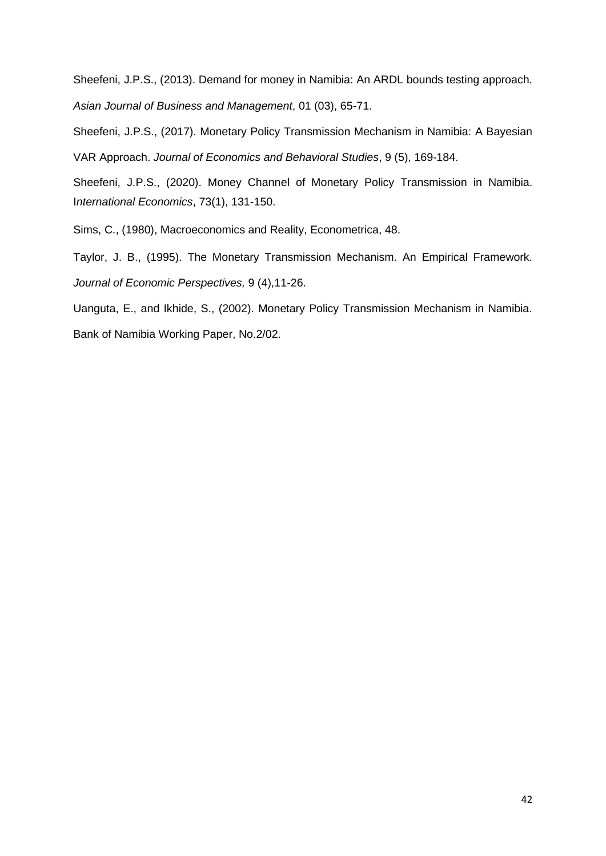Sheefeni, J.P.S., (2013). Demand for money in Namibia: An ARDL bounds testing approach. *Asian Journal of Business and Management*, 01 (03), 65-71.

Sheefeni, J.P.S., (2017). Monetary Policy Transmission Mechanism in Namibia: A Bayesian VAR Approach. *Journal of Economics and Behavioral Studies*, 9 (5), 169-184.

Sheefeni, J.P.S., (2020). Money Channel of Monetary Policy Transmission in Namibia. I*nternational Economics*, 73(1), 131-150.

Sims, C., (1980), Macroeconomics and Reality, Econometrica, 48.

Taylor, J. B., (1995). The Monetary Transmission Mechanism. An Empirical Framework. *Journal of Economic Perspectives,* 9 (4),11-26.

Uanguta, E., and Ikhide, S., (2002). Monetary Policy Transmission Mechanism in Namibia. Bank of Namibia Working Paper, No.2/02.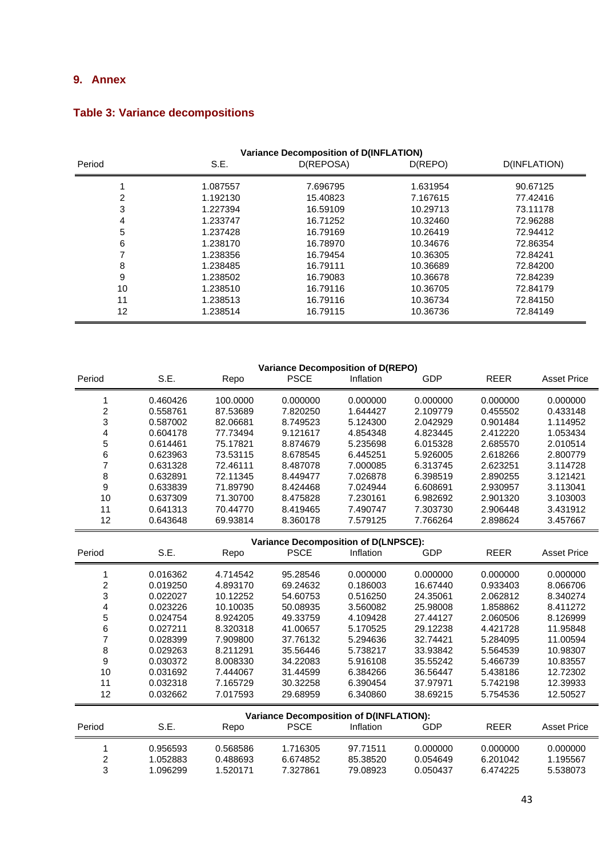# <span id="page-42-0"></span>**9. Annex**

| <b>Variance Decomposition of D(INFLATION)</b> |          |           |          |              |  |  |  |  |
|-----------------------------------------------|----------|-----------|----------|--------------|--|--|--|--|
| Period                                        | S.E.     | D(REPOSA) | D(REPO)  | D(INFLATION) |  |  |  |  |
|                                               | 1.087557 | 7.696795  | 1.631954 | 90.67125     |  |  |  |  |
| 2                                             | 1.192130 | 15.40823  | 7.167615 | 77.42416     |  |  |  |  |
| 3                                             | 1.227394 | 16.59109  | 10.29713 | 73.11178     |  |  |  |  |
| 4                                             | 1.233747 | 16.71252  | 10.32460 | 72.96288     |  |  |  |  |
| 5                                             | 1.237428 | 16.79169  | 10.26419 | 72.94412     |  |  |  |  |
| 6                                             | 1.238170 | 16.78970  | 10.34676 | 72.86354     |  |  |  |  |
|                                               | 1.238356 | 16.79454  | 10.36305 | 72.84241     |  |  |  |  |
| 8                                             | 1.238485 | 16.79111  | 10.36689 | 72.84200     |  |  |  |  |
| 9                                             | 1.238502 | 16.79083  | 10.36678 | 72.84239     |  |  |  |  |
| 10                                            | 1.238510 | 16.79116  | 10.36705 | 72.84179     |  |  |  |  |
| 11                                            | 1.238513 | 16.79116  | 10.36734 | 72.84150     |  |  |  |  |
| 12                                            | 1.238514 | 16.79115  | 10.36736 | 72.84149     |  |  |  |  |

# **Table 3: Variance decompositions**

| <b>Variance Decomposition of D(REPO)</b> |                                             |          |                                                               |           |            |                      |                      |  |  |
|------------------------------------------|---------------------------------------------|----------|---------------------------------------------------------------|-----------|------------|----------------------|----------------------|--|--|
| Period                                   | S.E.                                        | Repo     | <b>PSCE</b>                                                   | Inflation | GDP        | <b>REER</b>          | <b>Asset Price</b>   |  |  |
| 1                                        |                                             | 100.0000 | 0.000000                                                      | 0.000000  | 0.000000   | 0.000000             |                      |  |  |
| $\overline{c}$                           | 0.460426<br>0.558761                        | 87.53689 | 7.820250                                                      | 1.644427  | 2.109779   | 0.455502             | 0.000000<br>0.433148 |  |  |
| 3                                        | 0.587002                                    | 82.06681 | 8.749523                                                      | 5.124300  | 2.042929   | 0.901484             | 1.114952             |  |  |
|                                          | 0.604178                                    | 77.73494 | 9.121617                                                      | 4.854348  | 4.823445   | 2.412220             | 1.053434             |  |  |
| 4                                        | 0.614461                                    | 75.17821 | 8.874679                                                      | 5.235698  | 6.015328   | 2.685570             | 2.010514             |  |  |
| 5                                        |                                             | 73.53115 |                                                               | 6.445251  | 5.926005   |                      | 2.800779             |  |  |
| 6<br>$\overline{7}$                      | 0.623963                                    | 72.46111 | 8.678545<br>8.487078                                          |           |            | 2.618266<br>2.623251 |                      |  |  |
|                                          | 0.631328                                    |          |                                                               | 7.000085  | 6.313745   |                      | 3.114728             |  |  |
| 8                                        | 0.632891                                    | 72.11345 | 8.449477                                                      | 7.026878  | 6.398519   | 2.890255             | 3.121421             |  |  |
| $\boldsymbol{9}$                         | 0.633839                                    | 71.89790 | 8.424468                                                      | 7.024944  | 6.608691   | 2.930957             | 3.113041             |  |  |
| 10                                       | 0.637309                                    | 71.30700 | 8.475828                                                      | 7.230161  | 6.982692   | 2.901320             | 3.103003             |  |  |
| 11                                       | 0.641313                                    | 70.44770 | 8.419465                                                      | 7.490747  | 7.303730   | 2.906448             | 3.431912             |  |  |
| 12                                       | 0.643648                                    | 69.93814 | 8.360178                                                      | 7.579125  | 7.766264   | 2.898624             | 3.457667             |  |  |
|                                          | <b>Variance Decomposition of D(LNPSCE):</b> |          |                                                               |           |            |                      |                      |  |  |
| Period                                   | S.E.                                        | Repo     | <b>PSCE</b>                                                   | Inflation | <b>GDP</b> | <b>REER</b>          | <b>Asset Price</b>   |  |  |
| 1                                        | 0.016362                                    | 4.714542 | 95.28546                                                      | 0.000000  | 0.000000   | 0.000000             | 0.000000             |  |  |
| $\overline{\mathbf{c}}$                  | 0.019250                                    | 4.893170 | 69.24632                                                      | 0.186003  | 16.67440   | 0.933403             | 8.066706             |  |  |
| 3                                        | 0.022027                                    | 10.12252 | 54.60753                                                      | 0.516250  | 24.35061   | 2.062812             | 8.340274             |  |  |
| $\overline{\mathbf{r}}$                  | 0.023226                                    | 10.10035 | 50.08935                                                      | 3.560082  | 25.98008   | 1.858862             | 8.411272             |  |  |
| 5                                        | 0.024754                                    | 8.924205 | 49.33759                                                      | 4.109428  | 27.44127   | 2.060506             | 8.126999             |  |  |
| $\,6\,$                                  | 0.027211                                    | 8.320318 | 41.00657                                                      | 5.170525  | 29.12238   | 4.421728             | 11.95848             |  |  |
| $\overline{\mathbf{7}}$                  | 0.028399                                    | 7.909800 | 37.76132                                                      | 5.294636  | 32.74421   | 5.284095             | 11.00594             |  |  |
| 8                                        | 0.029263                                    | 8.211291 | 35.56446                                                      | 5.738217  | 33.93842   | 5.564539             | 10.98307             |  |  |
| 9                                        | 0.030372                                    | 8.008330 | 34.22083                                                      | 5.916108  | 35.55242   | 5.466739             | 10.83557             |  |  |
| 10                                       | 0.031692                                    | 7.444067 | 31.44599                                                      | 6.384266  | 36.56447   | 5.438186             | 12.72302             |  |  |
| 11                                       | 0.032318                                    | 7.165729 | 30.32258                                                      | 6.390454  | 37.97971   | 5.742198             | 12.39933             |  |  |
| 12                                       | 0.032662                                    | 7.017593 | 29.68959                                                      | 6.340860  | 38.69215   | 5.754536             | 12.50527             |  |  |
|                                          |                                             |          |                                                               |           |            |                      |                      |  |  |
| Period                                   | S.E.                                        |          | <b>Variance Decomposition of D(INFLATION):</b><br><b>PSCE</b> | Inflation | <b>GDP</b> | <b>REER</b>          | <b>Asset Price</b>   |  |  |
|                                          |                                             | Repo     |                                                               |           |            |                      |                      |  |  |
| 1                                        | 0.956593                                    | 0.568586 | 1.716305                                                      | 97.71511  | 0.000000   | 0.000000             | 0.000000             |  |  |
| $\overline{c}$                           | 1.052883                                    | 0.488693 | 6.674852                                                      | 85.38520  | 0.054649   | 6.201042             | 1.195567             |  |  |
| 3                                        | 1.096299                                    | 1.520171 | 7.327861                                                      | 79.08923  | 0.050437   | 6.474225             | 5.538073             |  |  |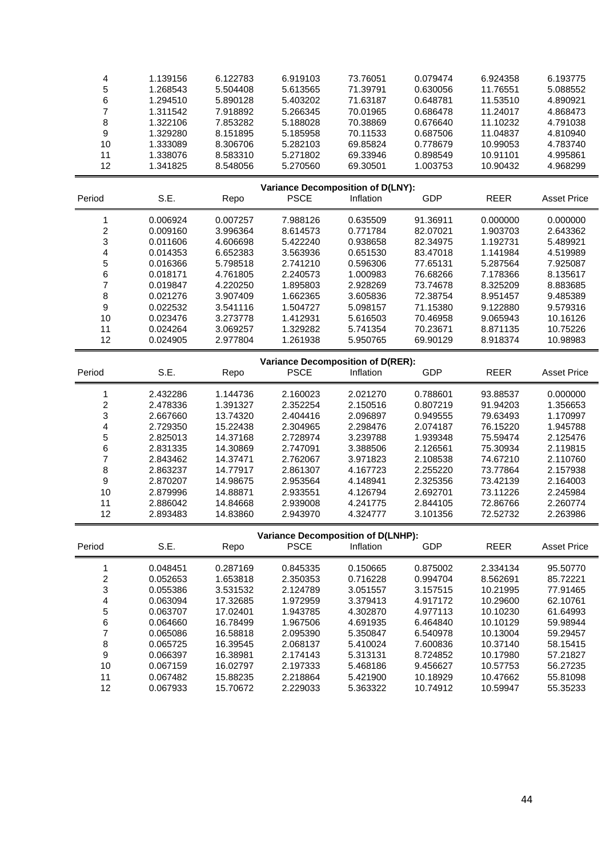| 4                        | 1.139156 | 6.122783 | 6.919103    | 73.76051                                        | 0.079474   | 6.924358    | 6.193775           |
|--------------------------|----------|----------|-------------|-------------------------------------------------|------------|-------------|--------------------|
| 5                        | 1.268543 | 5.504408 | 5.613565    | 71.39791                                        | 0.630056   | 11.76551    | 5.088552           |
| 6                        | 1.294510 | 5.890128 | 5.403202    | 71.63187                                        | 0.648781   | 11.53510    | 4.890921           |
| $\overline{7}$           | 1.311542 | 7.918892 | 5.266345    | 70.01965                                        | 0.686478   | 11.24017    | 4.868473           |
| 8                        | 1.322106 | 7.853282 | 5.188028    | 70.38869                                        | 0.676640   | 11.10232    | 4.791038           |
| $\boldsymbol{9}$         | 1.329280 | 8.151895 | 5.185958    | 70.11533                                        | 0.687506   | 11.04837    | 4.810940           |
| 10                       | 1.333089 | 8.306706 | 5.282103    | 69.85824                                        | 0.778679   | 10.99053    | 4.783740           |
| 11                       | 1.338076 | 8.583310 | 5.271802    | 69.33946                                        | 0.898549   | 10.91101    | 4.995861           |
| 12                       | 1.341825 | 8.548056 | 5.270560    | 69.30501                                        | 1.003753   | 10.90432    | 4.968299           |
|                          |          |          |             |                                                 |            |             |                    |
|                          |          |          |             | <b>Variance Decomposition of D(LNY):</b>        |            |             |                    |
| Period                   | S.E.     | Repo     | <b>PSCE</b> | Inflation                                       | GDP        | <b>REER</b> | <b>Asset Price</b> |
| 1                        | 0.006924 | 0.007257 | 7.988126    | 0.635509                                        | 91.36911   | 0.000000    | 0.000000           |
| $\overline{\mathbf{c}}$  | 0.009160 | 3.996364 | 8.614573    | 0.771784                                        | 82.07021   | 1.903703    | 2.643362           |
| 3                        | 0.011606 | 4.606698 | 5.422240    | 0.938658                                        | 82.34975   | 1.192731    | 5.489921           |
| 4                        | 0.014353 | 6.652383 | 3.563936    | 0.651530                                        | 83.47018   | 1.141984    | 4.519989           |
| 5                        | 0.016366 | 5.798518 | 2.741210    | 0.596306                                        | 77.65131   | 5.287564    | 7.925087           |
| 6                        | 0.018171 | 4.761805 | 2.240573    | 1.000983                                        | 76.68266   | 7.178366    | 8.135617           |
| $\overline{\mathbf{7}}$  | 0.019847 | 4.220250 | 1.895803    | 2.928269                                        | 73.74678   | 8.325209    | 8.883685           |
| 8                        | 0.021276 | 3.907409 | 1.662365    | 3.605836                                        | 72.38754   | 8.951457    | 9.485389           |
| $\boldsymbol{9}$         | 0.022532 | 3.541116 | 1.504727    | 5.098157                                        | 71.15380   | 9.122880    | 9.579316           |
| 10                       | 0.023476 | 3.273778 | 1.412931    | 5.616503                                        | 70.46958   | 9.065943    | 10.16126           |
| 11                       | 0.024264 | 3.069257 | 1.329282    | 5.741354                                        | 70.23671   | 8.871135    | 10.75226           |
| 12                       | 0.024905 | 2.977804 | 1.261938    | 5.950765                                        | 69.90129   | 8.918374    | 10.98983           |
|                          |          |          |             |                                                 |            |             |                    |
|                          |          |          |             | Variance Decomposition of D(RER):               |            |             |                    |
| Period                   | S.E.     | Repo     | <b>PSCE</b> | Inflation                                       | <b>GDP</b> | <b>REER</b> | <b>Asset Price</b> |
| 1                        | 2.432286 | 1.144736 | 2.160023    | 2.021270                                        | 0.788601   | 93.88537    | 0.000000           |
| $\overline{\mathbf{c}}$  | 2.478336 | 1.391327 | 2.352254    | 2.150516                                        | 0.807219   | 91.94203    | 1.356653           |
| 3                        | 2.667660 | 13.74320 | 2.404416    | 2.096897                                        | 0.949555   | 79.63493    | 1.170997           |
| 4                        | 2.729350 | 15.22438 | 2.304965    | 2.298476                                        | 2.074187   | 76.15220    | 1.945788           |
| 5                        | 2.825013 | 14.37168 | 2.728974    | 3.239788                                        | 1.939348   | 75.59474    | 2.125476           |
| 6                        | 2.831335 | 14.30869 | 2.747091    | 3.388506                                        | 2.126561   | 75.30934    | 2.119815           |
| $\overline{\mathcal{I}}$ | 2.843462 | 14.37471 | 2.762067    | 3.971823                                        | 2.108538   | 74.67210    | 2.110760           |
| 8                        | 2.863237 | 14.77917 | 2.861307    | 4.167723                                        | 2.255220   | 73.77864    | 2.157938           |
| 9                        | 2.870207 | 14.98675 | 2.953564    | 4.148941                                        | 2.325356   | 73.42139    | 2.164003           |
| 10                       | 2.879996 | 14.88871 | 2.933551    | 4.126794                                        | 2.692701   | 73.11226    | 2.245984           |
| 11                       | 2.886042 | 14.84668 | 2.939008    | 4.241775                                        | 2.844105   | 72.86766    | 2.260774           |
| 12                       | 2.893483 | 14.83860 | 2.943970    | 4.324777                                        | 3.101356   | 72.52732    | 2.263986           |
|                          |          |          |             |                                                 |            |             |                    |
| Period                   | S.E.     | Repo     | <b>PSCE</b> | Variance Decomposition of D(LNHP):<br>Inflation | <b>GDP</b> | <b>REER</b> | <b>Asset Price</b> |
|                          |          |          |             |                                                 |            |             |                    |
| 1                        | 0.048451 | 0.287169 | 0.845335    | 0.150665                                        | 0.875002   | 2.334134    | 95.50770           |
| $\overline{\mathbf{c}}$  | 0.052653 | 1.653818 | 2.350353    | 0.716228                                        | 0.994704   | 8.562691    | 85.72221           |
| 3                        | 0.055386 | 3.531532 | 2.124789    | 3.051557                                        | 3.157515   | 10.21995    | 77.91465           |
| 4                        | 0.063094 | 17.32685 | 1.972959    | 3.379413                                        | 4.917172   | 10.29600    | 62.10761           |
| 5                        | 0.063707 | 17.02401 | 1.943785    | 4.302870                                        | 4.977113   | 10.10230    | 61.64993           |
| 6                        | 0.064660 | 16.78499 | 1.967506    | 4.691935                                        | 6.464840   | 10.10129    | 59.98944           |
| 7                        | 0.065086 | 16.58818 | 2.095390    | 5.350847                                        | 6.540978   | 10.13004    | 59.29457           |
| 8                        | 0.065725 | 16.39545 | 2.068137    | 5.410024                                        | 7.600836   | 10.37140    | 58.15415           |
| $\boldsymbol{9}$         | 0.066397 | 16.38981 | 2.174143    | 5.313131                                        | 8.724852   | 10.17980    | 57.21827           |
| 10                       | 0.067159 | 16.02797 | 2.197333    | 5.468186                                        | 9.456627   | 10.57753    | 56.27235           |
| 11                       | 0.067482 | 15.88235 | 2.218864    | 5.421900                                        | 10.18929   | 10.47662    | 55.81098           |
| 12                       | 0.067933 | 15.70672 | 2.229033    | 5.363322                                        | 10.74912   | 10.59947    | 55.35233           |